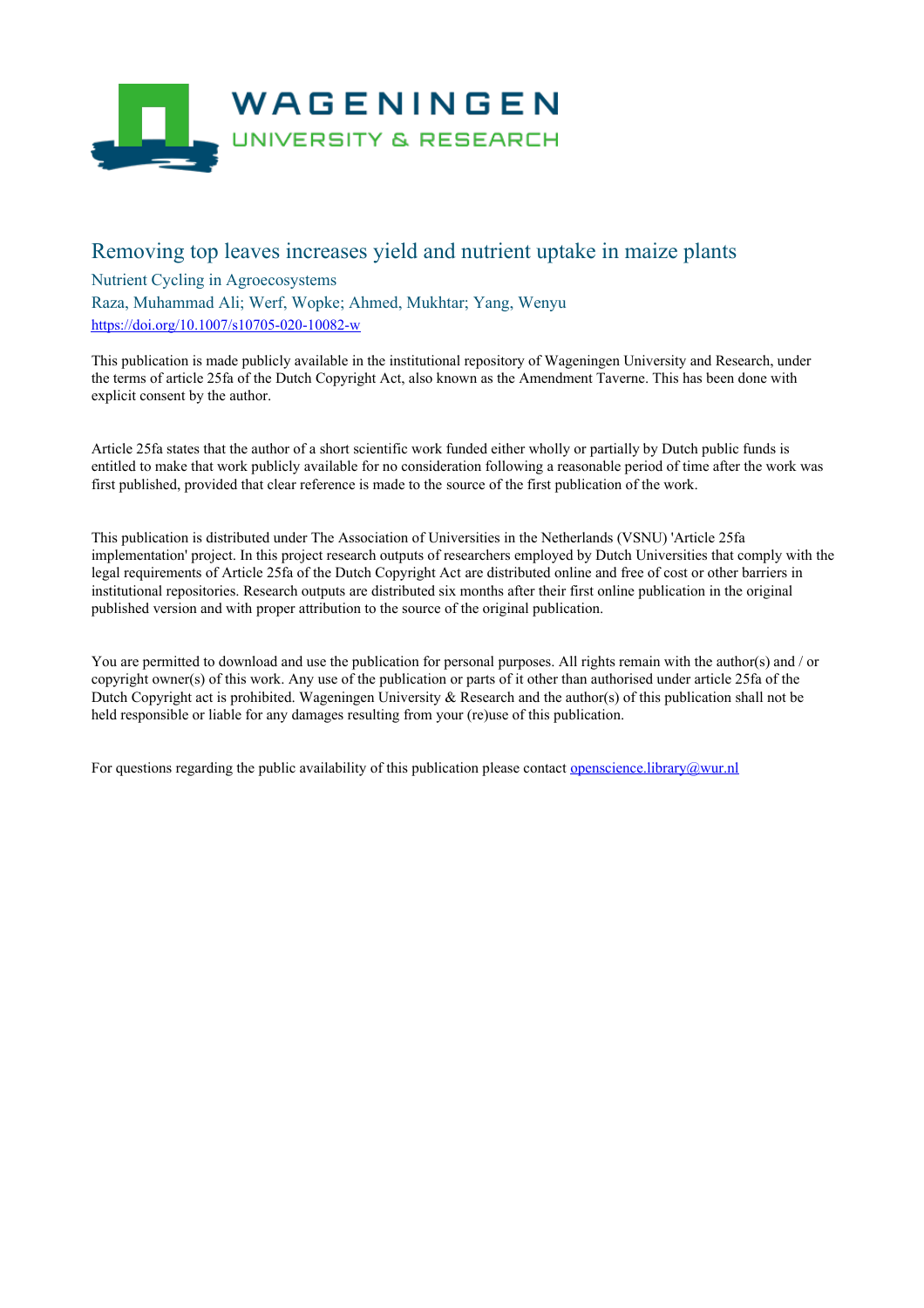

## Removing top leaves increases yield and nutrient uptake in maize plants

### Nutrient Cycling in Agroecosystems

Raza, Muhammad Ali; Werf, Wopke; Ahmed, Mukhtar; Yang, Wenyu <https://doi.org/10.1007/s10705-020-10082-w>

This publication is made publicly available in the institutional repository of Wageningen University and Research, under the terms of article 25fa of the Dutch Copyright Act, also known as the Amendment Taverne. This has been done with explicit consent by the author.

Article 25fa states that the author of a short scientific work funded either wholly or partially by Dutch public funds is entitled to make that work publicly available for no consideration following a reasonable period of time after the work was first published, provided that clear reference is made to the source of the first publication of the work.

This publication is distributed under The Association of Universities in the Netherlands (VSNU) 'Article 25fa implementation' project. In this project research outputs of researchers employed by Dutch Universities that comply with the legal requirements of Article 25fa of the Dutch Copyright Act are distributed online and free of cost or other barriers in institutional repositories. Research outputs are distributed six months after their first online publication in the original published version and with proper attribution to the source of the original publication.

You are permitted to download and use the publication for personal purposes. All rights remain with the author(s) and / or copyright owner(s) of this work. Any use of the publication or parts of it other than authorised under article 25fa of the Dutch Copyright act is prohibited. Wageningen University & Research and the author(s) of this publication shall not be held responsible or liable for any damages resulting from your (re)use of this publication.

For questions regarding the public availability of this publication please contact <u>[openscience.library@wur.nl](mailto:openscience.library@wur.nl)</u>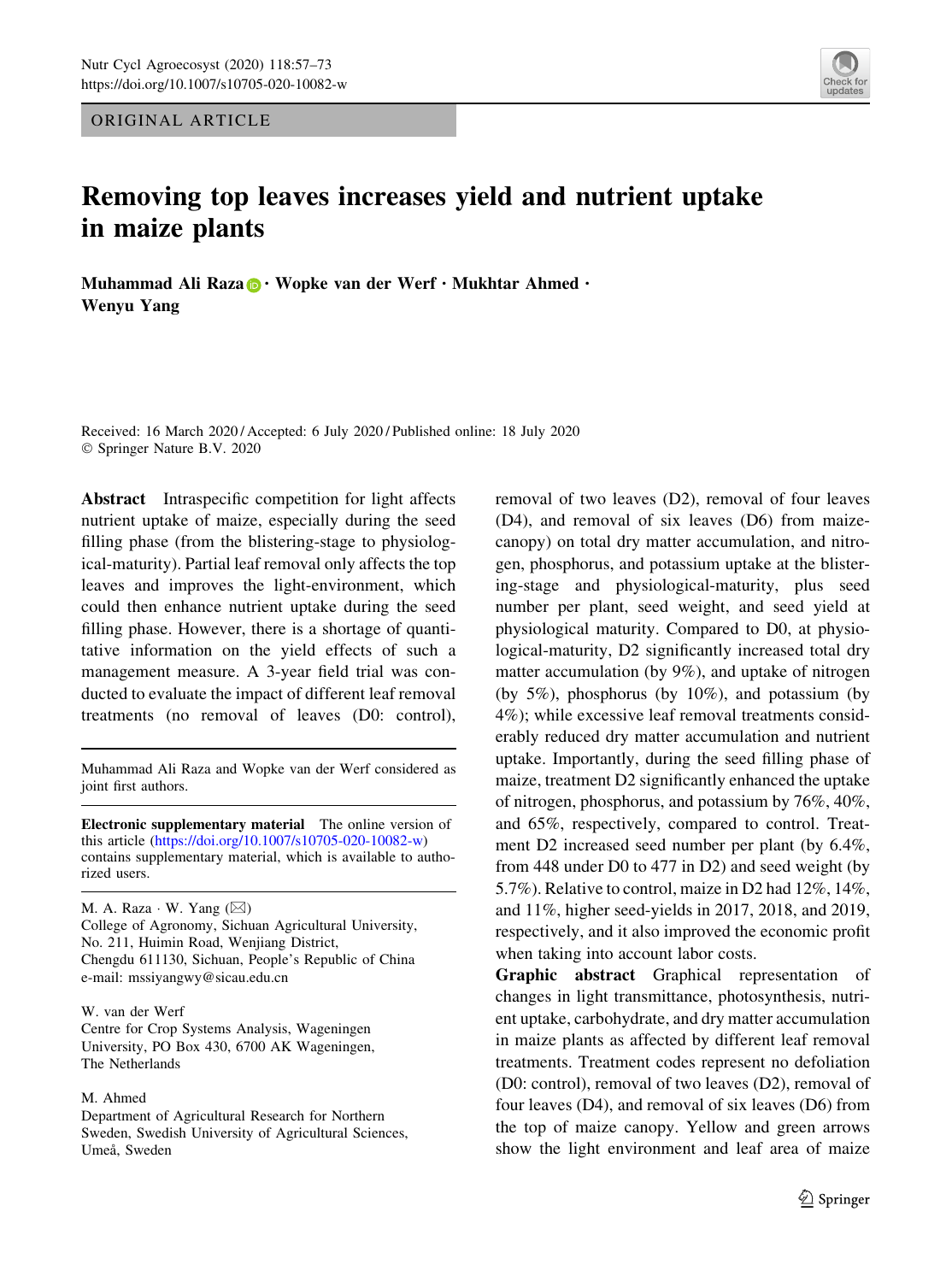ORIGINAL ARTICLE

# updates

# Removing top leaves increases yield and nutrient uptake in maize plants

Muhammad Ali Raza  $\mathbf{D} \cdot$  Wopke van der Werf  $\cdot$  Mukhtar Ahmed  $\cdot$ Wenyu Yang

Received: 16 March 2020 / Accepted: 6 July 2020 / Published online: 18 July 2020 © Springer Nature B.V. 2020

Abstract Intraspecific competition for light affects nutrient uptake of maize, especially during the seed filling phase (from the blistering-stage to physiological-maturity). Partial leaf removal only affects the top leaves and improves the light-environment, which could then enhance nutrient uptake during the seed filling phase. However, there is a shortage of quantitative information on the yield effects of such a management measure. A 3-year field trial was conducted to evaluate the impact of different leaf removal treatments (no removal of leaves (D0: control),

Muhammad Ali Raza and Wopke van der Werf considered as joint first authors.

Electronic supplementary material The online version of this article [\(https://doi.org/10.1007/s10705-020-10082-w](https://doi.org/10.1007/s10705-020-10082-w)) contains supplementary material, which is available to authorized users.

M. A. Raza  $\cdot$  W. Yang  $(\boxtimes)$ College of Agronomy, Sichuan Agricultural University, No. 211, Huimin Road, Wenjiang District, Chengdu 611130, Sichuan, People's Republic of China e-mail: mssiyangwy@sicau.edu.cn

W. van der Werf Centre for Crop Systems Analysis, Wageningen University, PO Box 430, 6700 AK Wageningen, The Netherlands

#### M. Ahmed

Department of Agricultural Research for Northern Sweden, Swedish University of Agricultural Sciences, Umeå, Sweden

removal of two leaves (D2), removal of four leaves (D4), and removal of six leaves (D6) from maizecanopy) on total dry matter accumulation, and nitrogen, phosphorus, and potassium uptake at the blistering-stage and physiological-maturity, plus seed number per plant, seed weight, and seed yield at physiological maturity. Compared to D0, at physiological-maturity, D2 significantly increased total dry matter accumulation (by 9%), and uptake of nitrogen (by 5%), phosphorus (by 10%), and potassium (by 4%); while excessive leaf removal treatments considerably reduced dry matter accumulation and nutrient uptake. Importantly, during the seed filling phase of maize, treatment D2 significantly enhanced the uptake of nitrogen, phosphorus, and potassium by 76%, 40%, and 65%, respectively, compared to control. Treatment D2 increased seed number per plant (by 6.4%, from 448 under D0 to 477 in D2) and seed weight (by 5.7%). Relative to control, maize in D2 had 12%, 14%, and 11%, higher seed-yields in 2017, 2018, and 2019, respectively, and it also improved the economic profit when taking into account labor costs.

Graphic abstract Graphical representation of changes in light transmittance, photosynthesis, nutrient uptake, carbohydrate, and dry matter accumulation in maize plants as affected by different leaf removal treatments. Treatment codes represent no defoliation (D0: control), removal of two leaves (D2), removal of four leaves (D4), and removal of six leaves (D6) from the top of maize canopy. Yellow and green arrows show the light environment and leaf area of maize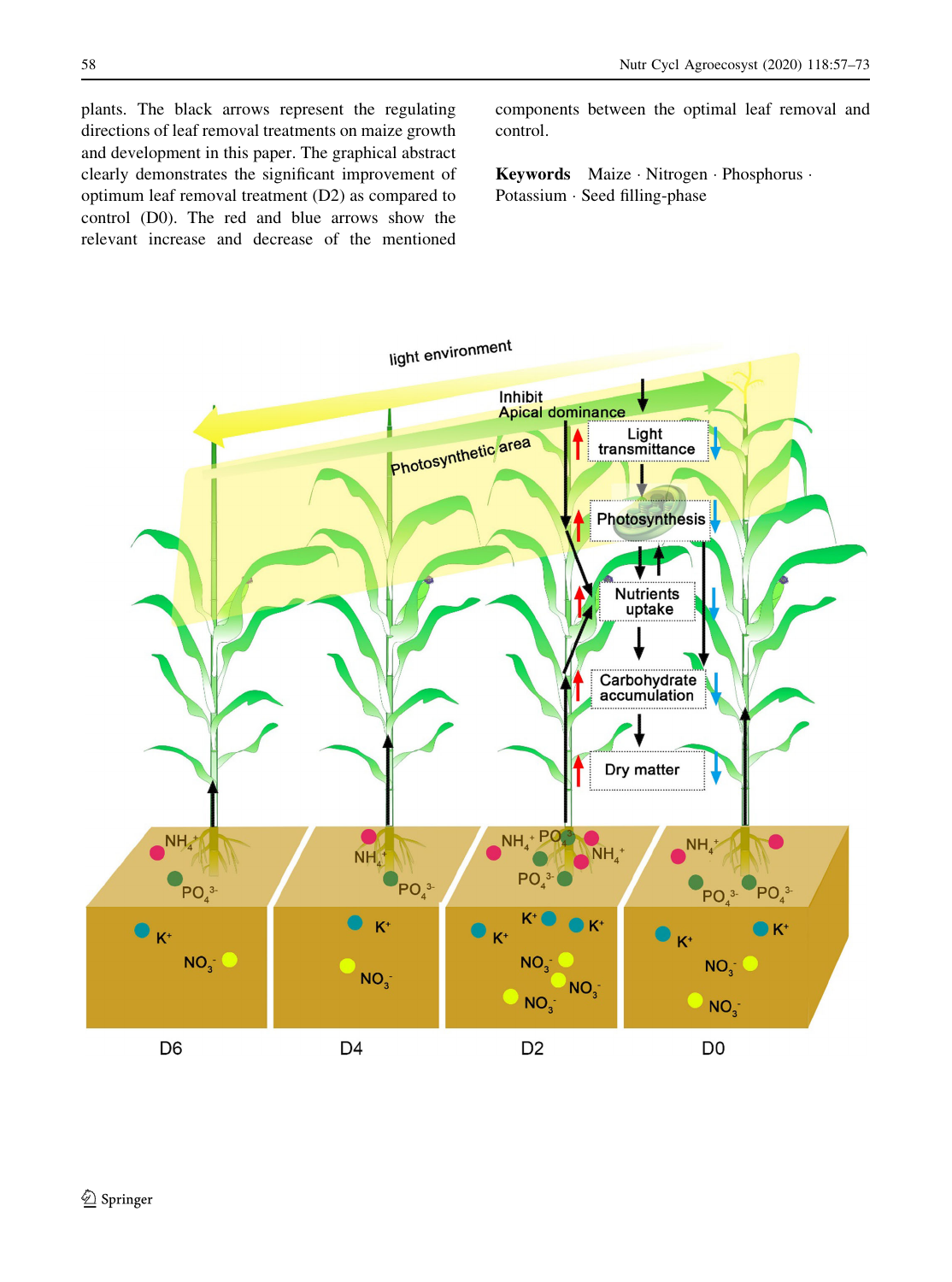plants. The black arrows represent the regulating directions of leaf removal treatments on maize growth and development in this paper. The graphical abstract clearly demonstrates the significant improvement of optimum leaf removal treatment (D2) as compared to control (D0). The red and blue arrows show the relevant increase and decrease of the mentioned

components between the optimal leaf removal and control.

Keywords Maize - Nitrogen - Phosphorus - Potassium - Seed filling-phase

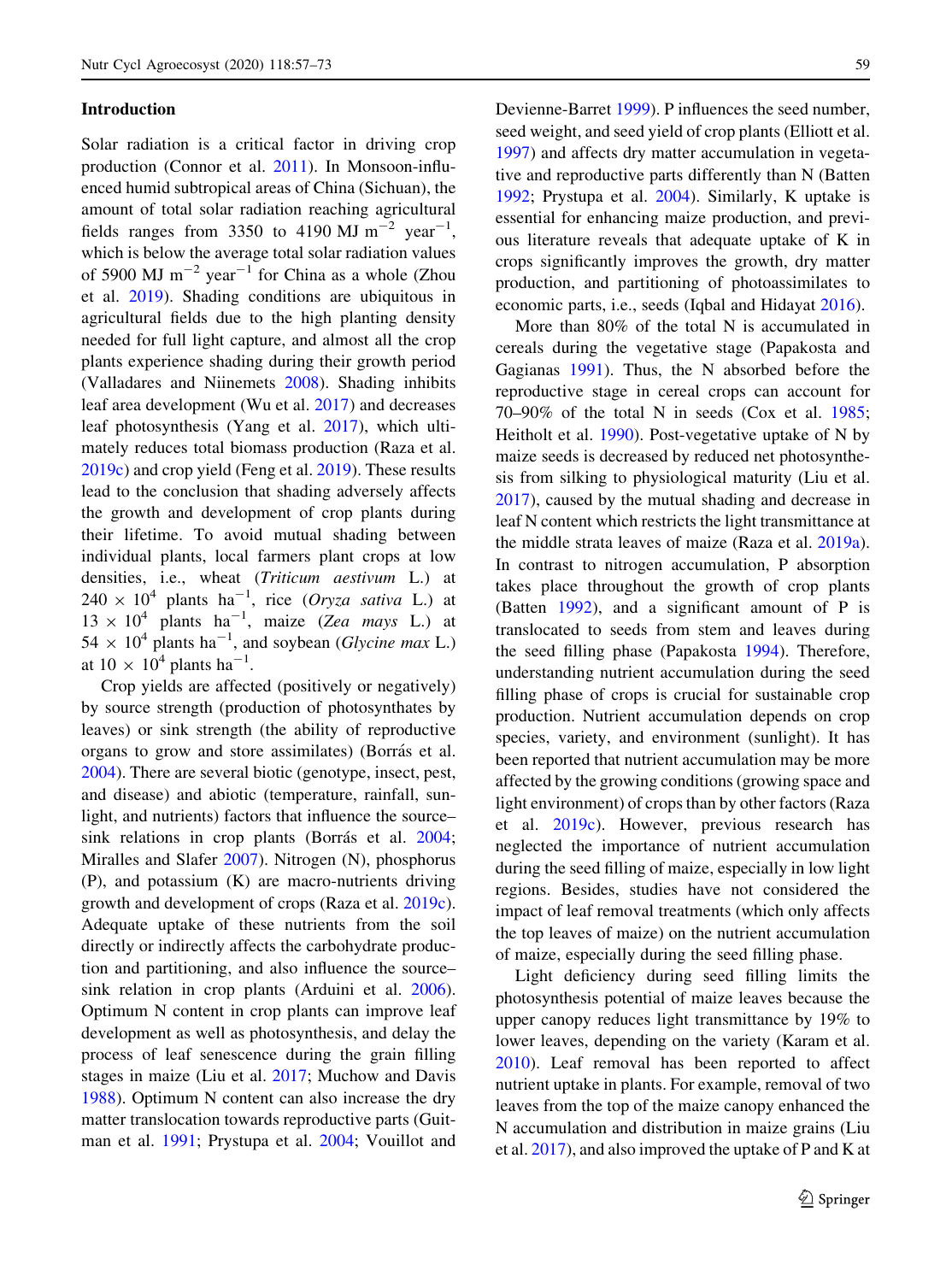#### Introduction

Solar radiation is a critical factor in driving crop production (Connor et al. [2011](#page-16-0)). In Monsoon-influenced humid subtropical areas of China (Sichuan), the amount of total solar radiation reaching agricultural fields ranges from 3350 to 4190 MJ  $m^{-2}$  year<sup>-1</sup>, which is below the average total solar radiation values of 5900 MJ  $m^{-2}$  year<sup>-1</sup> for China as a whole (Zhou et al. [2019](#page-17-0)). Shading conditions are ubiquitous in agricultural fields due to the high planting density needed for full light capture, and almost all the crop plants experience shading during their growth period (Valladares and Niinemets [2008\)](#page-17-0). Shading inhibits leaf area development (Wu et al. [2017\)](#page-17-0) and decreases leaf photosynthesis (Yang et al. [2017](#page-17-0)), which ultimately reduces total biomass production (Raza et al. [2019c](#page-17-0)) and crop yield (Feng et al. [2019](#page-16-0)). These results lead to the conclusion that shading adversely affects the growth and development of crop plants during their lifetime. To avoid mutual shading between individual plants, local farmers plant crops at low densities, i.e., wheat (Triticum aestivum L.) at  $240 \times 10^4$  plants ha<sup>-1</sup>, rice (Oryza sativa L.) at  $13 \times 10^4$  plants ha<sup>-1</sup>, maize (Zea mays L.) at  $54 \times 10^4$  plants ha<sup>-1</sup>, and soybean (*Glycine max* L.) at  $10 \times 10^4$  plants ha<sup>-1</sup>.

Crop yields are affected (positively or negatively) by source strength (production of photosynthates by leaves) or sink strength (the ability of reproductive organs to grow and store assimilates) (Borrás et al. [2004\)](#page-16-0). There are several biotic (genotype, insect, pest, and disease) and abiotic (temperature, rainfall, sunlight, and nutrients) factors that influence the source– sink relations in crop plants (Borrás et al. [2004](#page-16-0); Miralles and Slafer [2007\)](#page-16-0). Nitrogen (N), phosphorus (P), and potassium (K) are macro-nutrients driving growth and development of crops (Raza et al. [2019c](#page-17-0)). Adequate uptake of these nutrients from the soil directly or indirectly affects the carbohydrate production and partitioning, and also influence the source– sink relation in crop plants (Arduini et al. [2006](#page-16-0)). Optimum N content in crop plants can improve leaf development as well as photosynthesis, and delay the process of leaf senescence during the grain filling stages in maize (Liu et al. [2017;](#page-16-0) Muchow and Davis [1988\)](#page-16-0). Optimum N content can also increase the dry matter translocation towards reproductive parts (Guitman et al. [1991;](#page-16-0) Prystupa et al. [2004;](#page-16-0) Vouillot and

Devienne-Barret [1999\)](#page-17-0). P influences the seed number, seed weight, and seed yield of crop plants (Elliott et al. [1997\)](#page-16-0) and affects dry matter accumulation in vegetative and reproductive parts differently than N (Batten [1992;](#page-16-0) Prystupa et al. [2004\)](#page-16-0). Similarly, K uptake is essential for enhancing maize production, and previous literature reveals that adequate uptake of K in crops significantly improves the growth, dry matter production, and partitioning of photoassimilates to economic parts, i.e., seeds (Iqbal and Hidayat [2016\)](#page-16-0).

More than 80% of the total N is accumulated in cereals during the vegetative stage (Papakosta and Gagianas [1991](#page-16-0)). Thus, the N absorbed before the reproductive stage in cereal crops can account for 70–90% of the total N in seeds (Cox et al. [1985](#page-16-0); Heitholt et al. [1990](#page-16-0)). Post-vegetative uptake of N by maize seeds is decreased by reduced net photosynthesis from silking to physiological maturity (Liu et al. [2017\)](#page-16-0), caused by the mutual shading and decrease in leaf N content which restricts the light transmittance at the middle strata leaves of maize (Raza et al. [2019a](#page-17-0)). In contrast to nitrogen accumulation, P absorption takes place throughout the growth of crop plants (Batten [1992](#page-16-0)), and a significant amount of P is translocated to seeds from stem and leaves during the seed filling phase (Papakosta [1994\)](#page-16-0). Therefore, understanding nutrient accumulation during the seed filling phase of crops is crucial for sustainable crop production. Nutrient accumulation depends on crop species, variety, and environment (sunlight). It has been reported that nutrient accumulation may be more affected by the growing conditions (growing space and light environment) of crops than by other factors (Raza et al. [2019c](#page-17-0)). However, previous research has neglected the importance of nutrient accumulation during the seed filling of maize, especially in low light regions. Besides, studies have not considered the impact of leaf removal treatments (which only affects the top leaves of maize) on the nutrient accumulation of maize, especially during the seed filling phase.

Light deficiency during seed filling limits the photosynthesis potential of maize leaves because the upper canopy reduces light transmittance by 19% to lower leaves, depending on the variety (Karam et al. [2010\)](#page-16-0). Leaf removal has been reported to affect nutrient uptake in plants. For example, removal of two leaves from the top of the maize canopy enhanced the N accumulation and distribution in maize grains (Liu et al. [2017\)](#page-16-0), and also improved the uptake of P and K at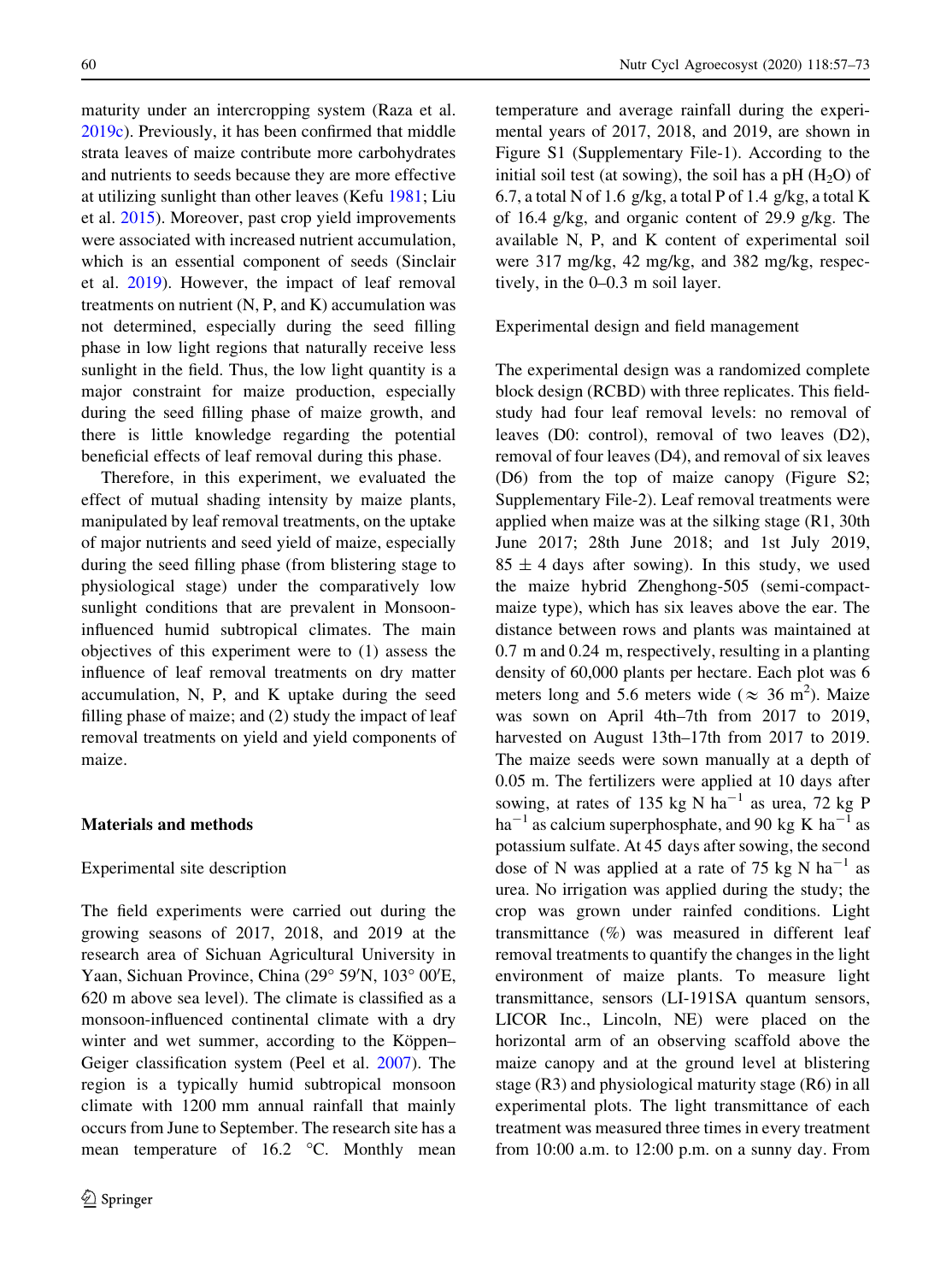maturity under an intercropping system (Raza et al. [2019c](#page-17-0)). Previously, it has been confirmed that middle strata leaves of maize contribute more carbohydrates and nutrients to seeds because they are more effective at utilizing sunlight than other leaves (Kefu [1981](#page-16-0); Liu et al. [2015](#page-16-0)). Moreover, past crop yield improvements were associated with increased nutrient accumulation, which is an essential component of seeds (Sinclair et al. [2019](#page-17-0)). However, the impact of leaf removal treatments on nutrient  $(N, P, and K)$  accumulation was not determined, especially during the seed filling phase in low light regions that naturally receive less sunlight in the field. Thus, the low light quantity is a major constraint for maize production, especially during the seed filling phase of maize growth, and there is little knowledge regarding the potential beneficial effects of leaf removal during this phase.

Therefore, in this experiment, we evaluated the effect of mutual shading intensity by maize plants, manipulated by leaf removal treatments, on the uptake of major nutrients and seed yield of maize, especially during the seed filling phase (from blistering stage to physiological stage) under the comparatively low sunlight conditions that are prevalent in Monsooninfluenced humid subtropical climates. The main objectives of this experiment were to (1) assess the influence of leaf removal treatments on dry matter accumulation, N, P, and K uptake during the seed filling phase of maize; and (2) study the impact of leaf removal treatments on yield and yield components of maize.

#### Materials and methods

#### Experimental site description

The field experiments were carried out during the growing seasons of 2017, 2018, and 2019 at the research area of Sichuan Agricultural University in Yaan, Sichuan Province, China (29° 59'N, 103° 00'E, 620 m above sea level). The climate is classified as a monsoon-influenced continental climate with a dry winter and wet summer, according to the Köppen– Geiger classification system (Peel et al. [2007\)](#page-16-0). The region is a typically humid subtropical monsoon climate with 1200 mm annual rainfall that mainly occurs from June to September. The research site has a mean temperature of  $16.2$  °C. Monthly mean temperature and average rainfall during the experimental years of 2017, 2018, and 2019, are shown in Figure S1 (Supplementary File-1). According to the initial soil test (at sowing), the soil has a pH  $(H<sub>2</sub>O)$  of 6.7, a total N of 1.6 g/kg, a total P of 1.4 g/kg, a total K of 16.4 g/kg, and organic content of 29.9 g/kg. The available N, P, and K content of experimental soil were 317 mg/kg, 42 mg/kg, and 382 mg/kg, respectively, in the 0–0.3 m soil layer.

Experimental design and field management

The experimental design was a randomized complete block design (RCBD) with three replicates. This fieldstudy had four leaf removal levels: no removal of leaves (D0: control), removal of two leaves (D2), removal of four leaves (D4), and removal of six leaves (D6) from the top of maize canopy (Figure S2; Supplementary File-2). Leaf removal treatments were applied when maize was at the silking stage (R1, 30th June 2017; 28th June 2018; and 1st July 2019,  $85 \pm 4$  days after sowing). In this study, we used the maize hybrid Zhenghong-505 (semi-compactmaize type), which has six leaves above the ear. The distance between rows and plants was maintained at 0.7 m and 0.24 m, respectively, resulting in a planting density of 60,000 plants per hectare. Each plot was 6 meters long and 5.6 meters wide ( $\approx 36$  m<sup>2</sup>). Maize was sown on April 4th–7th from 2017 to 2019, harvested on August 13th–17th from 2017 to 2019. The maize seeds were sown manually at a depth of 0.05 m. The fertilizers were applied at 10 days after sowing, at rates of 135 kg N ha<sup>-1</sup> as urea, 72 kg P  $ha^{-1}$  as calcium superphosphate, and 90 kg K  $ha^{-1}$  as potassium sulfate. At 45 days after sowing, the second dose of N was applied at a rate of 75 kg N  $ha^{-1}$  as urea. No irrigation was applied during the study; the crop was grown under rainfed conditions. Light transmittance (%) was measured in different leaf removal treatments to quantify the changes in the light environment of maize plants. To measure light transmittance, sensors (LI-191SA quantum sensors, LICOR Inc., Lincoln, NE) were placed on the horizontal arm of an observing scaffold above the maize canopy and at the ground level at blistering stage (R3) and physiological maturity stage (R6) in all experimental plots. The light transmittance of each treatment was measured three times in every treatment from 10:00 a.m. to 12:00 p.m. on a sunny day. From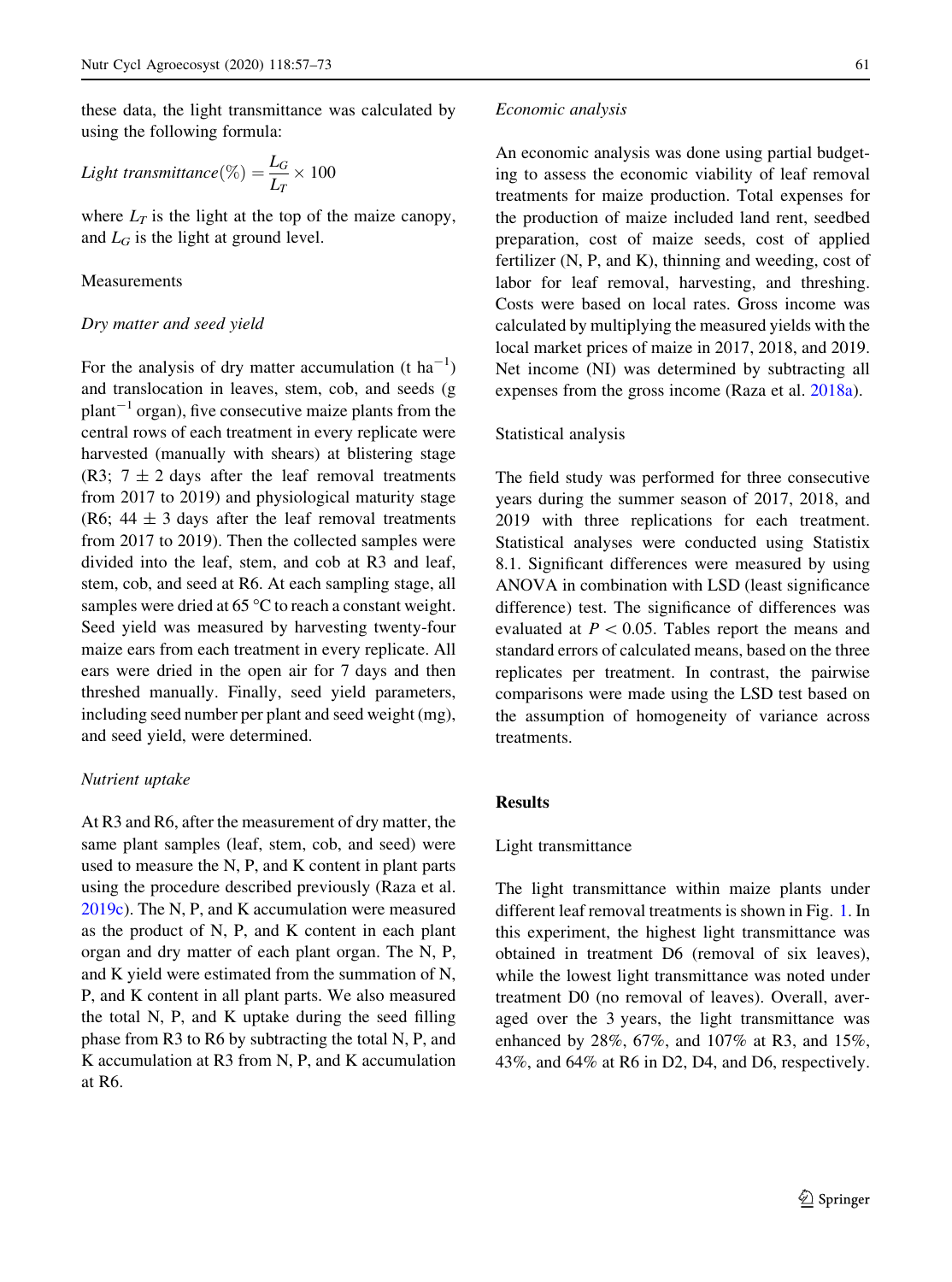these data, the light transmittance was calculated by using the following formula:

Light transmittance
$$
(\%) = \frac{L_G}{L_T} \times 100
$$

where  $L_T$  is the light at the top of the maize canopy, and  $L_G$  is the light at ground level.

#### Measurements

#### Dry matter and seed yield

For the analysis of dry matter accumulation (t  $ha^{-1}$ ) and translocation in leaves, stem, cob, and seeds (g  $plant^{-1}$  organ), five consecutive maize plants from the central rows of each treatment in every replicate were harvested (manually with shears) at blistering stage (R3;  $7 \pm 2$  days after the leaf removal treatments from 2017 to 2019) and physiological maturity stage (R6;  $44 \pm 3$  days after the leaf removal treatments from 2017 to 2019). Then the collected samples were divided into the leaf, stem, and cob at R3 and leaf, stem, cob, and seed at R6. At each sampling stage, all samples were dried at  $65^{\circ}$ C to reach a constant weight. Seed yield was measured by harvesting twenty-four maize ears from each treatment in every replicate. All ears were dried in the open air for 7 days and then threshed manually. Finally, seed yield parameters, including seed number per plant and seed weight (mg), and seed yield, were determined.

#### Nutrient uptake

At R3 and R6, after the measurement of dry matter, the same plant samples (leaf, stem, cob, and seed) were used to measure the N, P, and K content in plant parts using the procedure described previously (Raza et al. [2019c](#page-17-0)). The N, P, and K accumulation were measured as the product of N, P, and K content in each plant organ and dry matter of each plant organ. The N, P, and K yield were estimated from the summation of N, P, and K content in all plant parts. We also measured the total N, P, and K uptake during the seed filling phase from R3 to R6 by subtracting the total N, P, and K accumulation at R3 from N, P, and K accumulation at R6.

#### Economic analysis

An economic analysis was done using partial budgeting to assess the economic viability of leaf removal treatments for maize production. Total expenses for the production of maize included land rent, seedbed preparation, cost of maize seeds, cost of applied fertilizer (N, P, and K), thinning and weeding, cost of labor for leaf removal, harvesting, and threshing. Costs were based on local rates. Gross income was calculated by multiplying the measured yields with the local market prices of maize in 2017, 2018, and 2019. Net income (NI) was determined by subtracting all expenses from the gross income (Raza et al. [2018a](#page-17-0)).

#### Statistical analysis

The field study was performed for three consecutive years during the summer season of 2017, 2018, and 2019 with three replications for each treatment. Statistical analyses were conducted using Statistix 8.1. Significant differences were measured by using ANOVA in combination with LSD (least significance difference) test. The significance of differences was evaluated at  $P < 0.05$ . Tables report the means and standard errors of calculated means, based on the three replicates per treatment. In contrast, the pairwise comparisons were made using the LSD test based on the assumption of homogeneity of variance across treatments.

#### Results

#### Light transmittance

The light transmittance within maize plants under different leaf removal treatments is shown in Fig. [1.](#page-6-0) In this experiment, the highest light transmittance was obtained in treatment D6 (removal of six leaves), while the lowest light transmittance was noted under treatment D0 (no removal of leaves). Overall, averaged over the 3 years, the light transmittance was enhanced by 28%, 67%, and 107% at R3, and 15%, 43%, and 64% at R6 in D2, D4, and D6, respectively.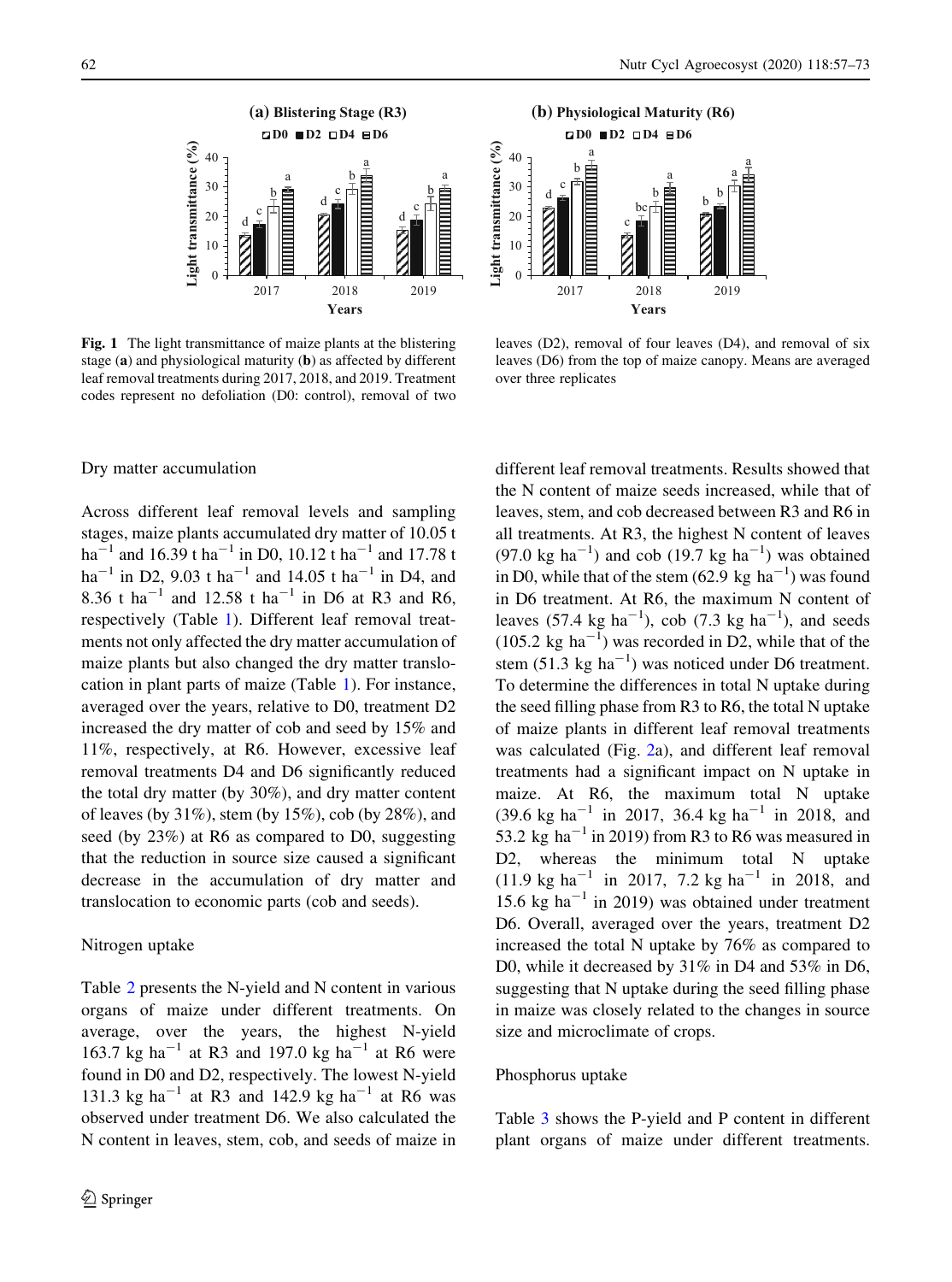<span id="page-6-0"></span>

Fig. 1 The light transmittance of maize plants at the blistering stage (a) and physiological maturity (b) as affected by different leaf removal treatments during 2017, 2018, and 2019. Treatment codes represent no defoliation (D0: control), removal of two



leaves (D2), removal of four leaves (D4), and removal of six leaves (D6) from the top of maize canopy. Means are averaged over three replicates

#### Dry matter accumulation

Across different leaf removal levels and sampling stages, maize plants accumulated dry matter of 10.05 t  $\mathrm{ha}^{-1}$  and 16.39 t $\mathrm{ha}^{-1}$  in D0, 10.12 t $\mathrm{ha}^{-1}$  and 17.78 t ha<sup>-1</sup> in D2, 9.03 t ha<sup>-1</sup> and 14.05 t ha<sup>-1</sup> in D4, and 8.36 t ha<sup>-1</sup> and 12.58 t ha<sup>-1</sup> in D6 at R3 and R6, respectively (Table [1\)](#page-7-0). Different leaf removal treatments not only affected the dry matter accumulation of maize plants but also changed the dry matter translocation in plant parts of maize (Table [1\)](#page-7-0). For instance, averaged over the years, relative to D0, treatment D2 increased the dry matter of cob and seed by 15% and 11%, respectively, at R6. However, excessive leaf removal treatments D4 and D6 significantly reduced the total dry matter (by 30%), and dry matter content of leaves (by  $31\%$ ), stem (by  $15\%$ ), cob (by  $28\%$ ), and seed (by 23%) at R6 as compared to D0, suggesting that the reduction in source size caused a significant decrease in the accumulation of dry matter and translocation to economic parts (cob and seeds).

#### Nitrogen uptake

Table [2](#page-8-0) presents the N-yield and N content in various organs of maize under different treatments. On average, over the years, the highest N-yield 163.7 kg ha<sup>-1</sup> at R3 and 197.0 kg ha<sup>-1</sup> at R6 were found in D0 and D2, respectively. The lowest N-yield 131.3 kg ha<sup>-1</sup> at R3 and 142.9 kg ha<sup>-1</sup> at R6 was observed under treatment D6. We also calculated the N content in leaves, stem, cob, and seeds of maize in different leaf removal treatments. Results showed that the N content of maize seeds increased, while that of leaves, stem, and cob decreased between R3 and R6 in all treatments. At R3, the highest N content of leaves  $(97.0 \text{ kg ha}^{-1})$  and cob  $(19.7 \text{ kg ha}^{-1})$  was obtained in D0, while that of the stem  $(62.9 \text{ kg ha}^{-1})$  was found in D6 treatment. At R6, the maximum N content of leaves (57.4 kg ha<sup>-1</sup>), cob (7.3 kg ha<sup>-1</sup>), and seeds  $(105.2 \text{ kg ha}^{-1})$  was recorded in D2, while that of the stem  $(51.3 \text{ kg ha}^{-1})$  was noticed under D6 treatment. To determine the differences in total N uptake during the seed filling phase from R3 to R6, the total N uptake of maize plants in different leaf removal treatments was calculated (Fig. [2a](#page-9-0)), and different leaf removal treatments had a significant impact on N uptake in maize. At R6, the maximum total N uptake  $(39.6 \text{ kg ha}^{-1} \text{ in } 2017, 36.4 \text{ kg ha}^{-1} \text{ in } 2018, \text{ and }$ 53.2 kg ha<sup> $-1$ </sup> in 2019) from R3 to R6 was measured in D2, whereas the minimum total N uptake  $(11.9 \text{ kg ha}^{-1} \text{ in } 2017, 7.2 \text{ kg ha}^{-1} \text{ in } 2018, \text{ and }$ 15.6 kg ha<sup> $-1$ </sup> in 2019) was obtained under treatment D6. Overall, averaged over the years, treatment D2 increased the total N uptake by 76% as compared to D0, while it decreased by  $31\%$  in D4 and  $53\%$  in D6, suggesting that N uptake during the seed filling phase in maize was closely related to the changes in source size and microclimate of crops.

#### Phosphorus uptake

Table [3](#page-10-0) shows the P-yield and P content in different plant organs of maize under different treatments.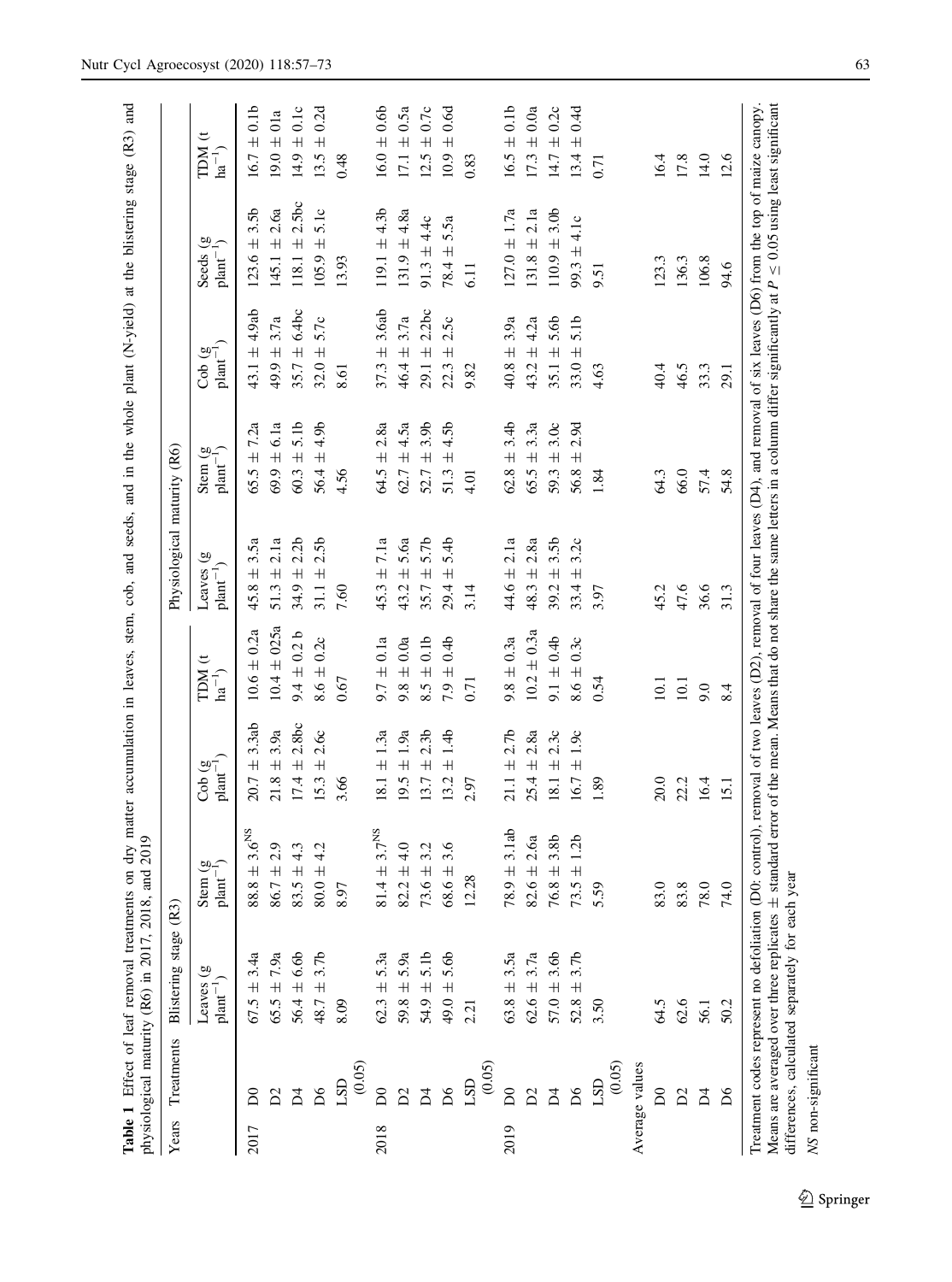<span id="page-7-0"></span>

|      |                         |                                                                                                   | <b>Table 1</b> Effect of leaf removal treatments on dry matter accumulation in leaves, stem, cob, and seeds, and in the whole plant (N-yield) at the blistering stage (R3) and<br>physiological maturity (R6) in 2017, 2018, and 2019 |                                            |                                     |                                                  |                                                                                                                                |                                                                |                                             |                                                      |
|------|-------------------------|---------------------------------------------------------------------------------------------------|---------------------------------------------------------------------------------------------------------------------------------------------------------------------------------------------------------------------------------------|--------------------------------------------|-------------------------------------|--------------------------------------------------|--------------------------------------------------------------------------------------------------------------------------------|----------------------------------------------------------------|---------------------------------------------|------------------------------------------------------|
|      | Years Treatments        | Blistering stage (R3)                                                                             |                                                                                                                                                                                                                                       |                                            |                                     | Physiological maturity (R6)                      |                                                                                                                                |                                                                |                                             |                                                      |
|      |                         | Leaves (g<br>$plant^{-1}$                                                                         | $\frac{1}{2}$ plant <sup>-1</sup>                                                                                                                                                                                                     | Cob $(g$<br>$plan^{-}$                     | <b>IDM</b> (t<br>$\mathrm{ha}^{-1}$ | $\widehat{\mathbf{g}}$<br>$plant^{-1}$<br>Leaves | ಅೆ<br>$_{\text{plant}}$<br>Stem                                                                                                | $\widehat{\mathbf{g}}$<br>plant <sup>-</sup><br>$\overline{c}$ | ම<br>$plan-1$ )<br>Seeds                    | $\overline{t}$<br><b>NICL</b><br>$\mathrm{ha}^{-1})$ |
| 2017 | δ                       | $67.5 \pm 3.4a$                                                                                   | $\pm$ 3.6 $\mathrm{^{NS}}$<br>88.8                                                                                                                                                                                                    | 3.3ab<br>$\overline{+}$<br>20.7            | $10.6 \pm 0.2a$                     | 3.5a<br>$\overline{+}$<br>45.8                   | 7.2a<br>$\overline{+}$<br>65.5                                                                                                 | 4.9ab<br>$\overline{+}$<br>43.1                                | 3.5 <sub>b</sub><br>$\overline{+}$<br>123.6 | $\pm 0.1$<br>16.7                                    |
|      | $\mathcal{L}$           | $65.5 \pm 7.9a$                                                                                   | $\pm 2.9$<br>86.7                                                                                                                                                                                                                     | 3.9a<br>$21.8 \pm$                         | $10.4 \pm 025a$                     | 2.1a<br>$\overline{+}$<br>51.3                   | 6.1a<br>$69.9 \pm$                                                                                                             | $49.9 \pm 3.7a$                                                | 2.6a<br>$145.1 \pm$                         | $19.0 \pm 01a$                                       |
|      | Ă                       | $56.4 \pm 6.6b$                                                                                   | 4.3<br>$\overline{+}$<br>83.5                                                                                                                                                                                                         | 2.8bc<br>$17.4 \pm$                        | $9.4 \pm 0.2 b$                     | 2.2 <sub>b</sub><br>$\overline{+}$<br>34.9       | 5.1b<br>$60.3 \pm$                                                                                                             | $35.7 \pm 6.4$ bc                                              | 2.5bc<br>$118.1 \pm$                        | $14.9 \pm 0.1c$                                      |
|      | $\mathsf{D6}$           | $48.7 \pm 3.7b$                                                                                   | 4.2<br>$\overline{+}$<br>80.0                                                                                                                                                                                                         | 2.6c<br>$15.3 \pm$                         | $8.6 \pm 0.2c$                      | 2.5 <sub>b</sub><br>$\overline{+}$<br>31.1       | 4.9b<br>$56.4 \pm$                                                                                                             | 5.7c<br>$32.0 \pm$                                             | 5.1c<br>$\overline{+}$<br>105.9             | $\pm 0.2d$<br>13.5                                   |
|      | (0.05)<br>LSD           | 8.09                                                                                              | 8.97                                                                                                                                                                                                                                  | 3.66                                       | 0.67                                | 7.60                                             | 4.56                                                                                                                           | 8.61                                                           | 13.93                                       | 0.48                                                 |
| 2018 | $\mathsf{D}0$           | $62.3 \pm 5.3a$                                                                                   | 3.7 <sup>NS</sup><br>$\overline{+}$<br>81.4                                                                                                                                                                                           | 1.3a<br>$\overline{+}$<br>18.1             | 0.1a<br>$9.7 \pm$                   | $\pm 7.1a$<br>45.3                               | 2.8a<br>$\overline{+}$<br>64.5                                                                                                 | 3.6ab<br>$\overline{+}$<br>37.3                                | $119.1 \pm 4.3b$                            | $16.0 \pm 0.66$                                      |
|      | $\tilde{D}$             | $59.8 \pm 5.9a$                                                                                   | 4.0<br>$\overline{+}$<br>82.2                                                                                                                                                                                                         | 1.9a<br>$9.5 \pm$                          | 0.0a<br>$9.8 \pm$                   | 5.6a<br>$\overline{+}$<br>43.2                   | 4.5a<br>$\overline{+}$<br>62.7                                                                                                 | 3.7a<br>46.4 ±                                                 | $131.9 \pm 4.8a$                            | $17.1 \pm 0.5a$                                      |
|      | $\overline{A}$          | $54.9 \pm 5.1$ b                                                                                  | 3.2<br>$73.6 \pm$                                                                                                                                                                                                                     | 2.3 <sub>b</sub><br>$\overline{+}$<br>13.7 | 0.1 <sub>b</sub><br>$8.5 \pm$       | 5.7b<br>$\overline{+}$<br>35.7                   | 3.9b<br>$\overline{+}$<br>52.7                                                                                                 | 2.2bc<br>$29.1 \pm$                                            | $91.3 \pm 4.4c$                             | $12.5 \pm 0.7c$                                      |
|      | $\mathsf{D6}$           | $49.0 \pm 5.6$                                                                                    | 3.6<br>$\overline{+}$<br>68.6                                                                                                                                                                                                         | 1.4 <sub>b</sub><br>$\overline{+}$<br>13.2 | 0.4 <sub>b</sub><br>$7.9 \pm$       | 5.4b<br>$\overline{+}$<br>29.4                   | 4.5b<br>$\overline{+}$<br>51.3                                                                                                 | 2.5c<br>$\overline{+}$<br>22.3                                 | 5.5a<br>$78.4 \pm$                          | $\pm 0.6$ d<br>10.9                                  |
|      | (0.05)<br>LSD           | 2.21                                                                                              | 12.28                                                                                                                                                                                                                                 | 2.97                                       | 0.71                                | 3.14                                             | 4.01                                                                                                                           | 9.82                                                           | 11<br>2                                     | 0.83                                                 |
| 2019 | $\delta$                | $63.8 \pm 3.5a$                                                                                   | 3.1ab<br>$\overline{+}$<br>78.9                                                                                                                                                                                                       | 2.7 <sub>b</sub><br>$\overline{+}$<br>21.1 | $9.8 \pm 0.3a$                      | 2.1a<br>$\overline{+}$<br>44.6                   | 3.4 <sub>b</sub><br>$\overline{+}$<br>62.8                                                                                     | 3.9a<br>$\overline{+}$<br>40.8                                 | $127.0 \pm 1.7a$                            | $\pm 0.1$<br>16.5                                    |
|      | $\mathbb{S}^1$          | $62.6 \pm 3.7a$                                                                                   | 2.6a<br>$\overline{+}$<br>82.6                                                                                                                                                                                                        | 2.8a<br>$\overline{+}$<br>25.4             | $10.2 \pm 0.3a$                     | 2.8a<br>$\overline{+}$<br>48.3                   | 3.3a<br>$\overline{+}$<br>65.5                                                                                                 | 4.2a<br>$43.2 \pm$                                             | $131.8 \pm 2.1a$                            | $\pm 0.0a$<br>17.3                                   |
|      | $\overline{\mathsf{d}}$ | $57.0 \pm 3.6$ b                                                                                  | 3.8b<br>$\overline{+}$<br>76.8                                                                                                                                                                                                        | 2.3c<br>$\overline{+}$<br>18.1             | $9.1 \pm 0.4$                       | 3.5 <sub>b</sub><br>$\overline{+}$<br>39.2       | 3.0c<br>$\overline{+}$<br>59.3                                                                                                 | 5.6b<br>35.1 $\pm$                                             | $110.9 \pm 3.0$ b                           | $\pm 0.2c$<br>14.7                                   |
|      | $\delta$                | 3.7b<br>$52.8 \pm$                                                                                | ± 1.2b<br>73.5                                                                                                                                                                                                                        | 1.9c<br>$16.7 \pm$                         | $8.6 \pm 0.3c$                      | 3.2c<br>$\overline{+}$<br>33.4                   | 2.9d<br>$\overline{+}$<br>56.8                                                                                                 | 5.1b<br>$33.0 \pm$                                             | 4.1c<br>$99.3 \pm$                          | $\pm 0.4d$<br>13.4                                   |
|      | (0.05)<br>LSD           | 3.50                                                                                              | 5.59                                                                                                                                                                                                                                  | $^{89}$                                    | 0.54                                | 5.97                                             | 1.84                                                                                                                           | 4.63                                                           | 5.5                                         | $\overline{0.71}$                                    |
|      | Average values          |                                                                                                   |                                                                                                                                                                                                                                       |                                            |                                     |                                                  |                                                                                                                                |                                                                |                                             |                                                      |
|      | $\overline{\mathsf{D}}$ | 64.5                                                                                              | 83.0                                                                                                                                                                                                                                  | 20.0                                       | 10.1                                | 45.2                                             | 64.3                                                                                                                           | 40.4                                                           | 123.3                                       | 16.4                                                 |
|      | $\mathbf{D}2$           | 62.6                                                                                              | 83.8                                                                                                                                                                                                                                  | 22.2                                       | 10.1                                | 47.6                                             | 66.0                                                                                                                           | 46.5                                                           | 136.3                                       | 17.8                                                 |
|      | $\overline{\mathsf{d}}$ | 56.1                                                                                              | 78.0                                                                                                                                                                                                                                  | 16.4                                       | 9.0                                 | 36.6                                             | 57.4                                                                                                                           | 33.3                                                           | 106.8                                       | 14.0                                                 |
|      | $\delta$                | 50.2                                                                                              | 74.0                                                                                                                                                                                                                                  | 15.1                                       | 8.4                                 | 31.3                                             | 54.8                                                                                                                           | 29.1                                                           | 94.6                                        | 12.6                                                 |
|      |                         | differences, calculated separately for each year<br>Treatment codes represent no defoliation (D0: | Means are averaged over three replicates $\pm$ standard error of the mean. Means that do not share the same letters in a column differ significantly at $P \leq 0.05$ using least significant                                         |                                            |                                     |                                                  | control), removal of two leaves (D2), removal of four leaves (D4), and removal of six leaves (D6) from the top of maize canopy |                                                                |                                             |                                                      |

<sup>2</sup> Springer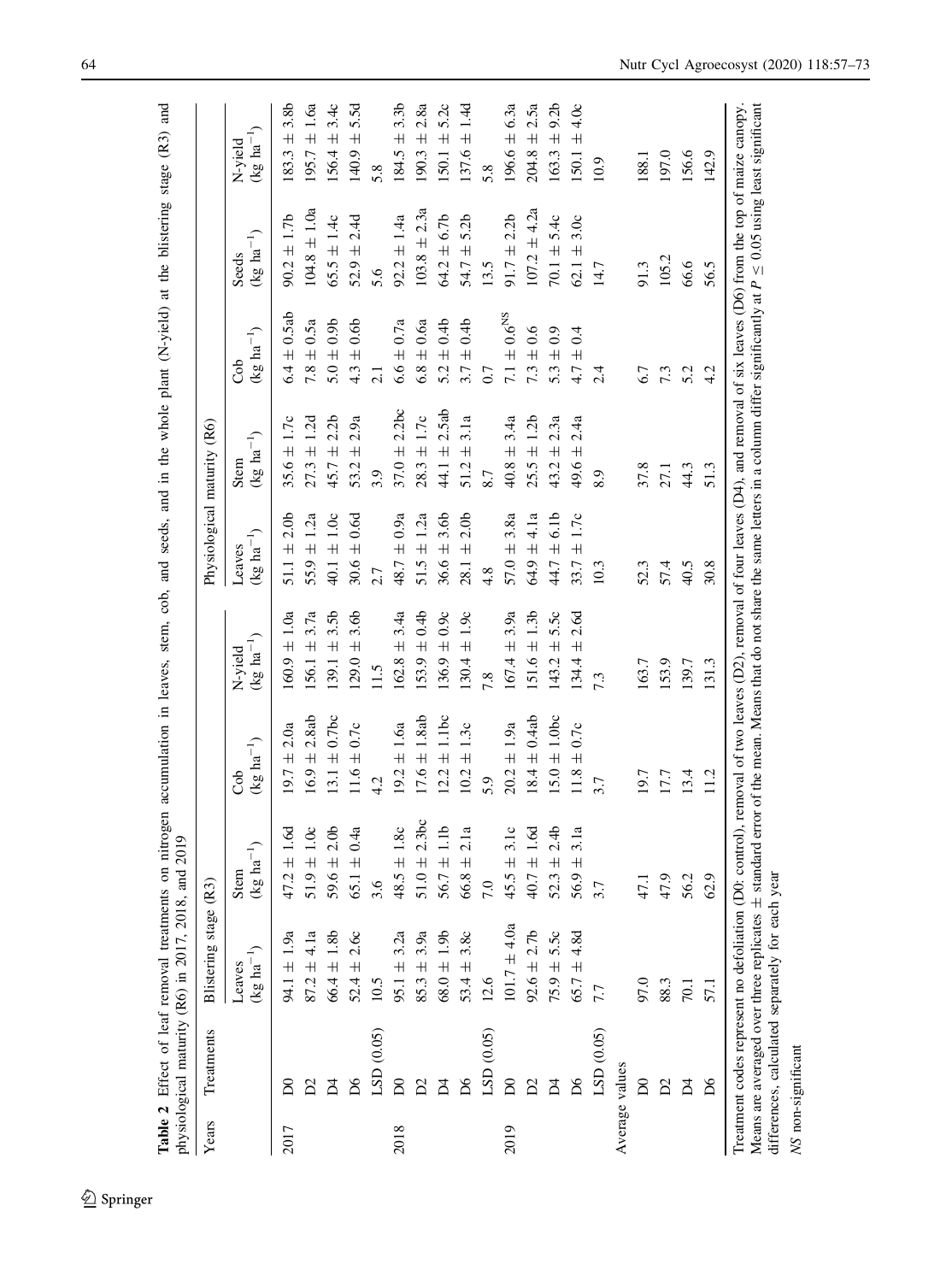| Years | Treatments     | Blistering stage (R3                                                                              |                                                                                                                                                                                               |                                                                                                                                 |                                 | Physiological maturity (R6)                |                                |                                           |                                |                                             |
|-------|----------------|---------------------------------------------------------------------------------------------------|-----------------------------------------------------------------------------------------------------------------------------------------------------------------------------------------------|---------------------------------------------------------------------------------------------------------------------------------|---------------------------------|--------------------------------------------|--------------------------------|-------------------------------------------|--------------------------------|---------------------------------------------|
|       |                | $(\text{kg ha}^{-1})$<br>Leaves                                                                   | $\frac{1}{2}$ ha <sup>-1</sup> )<br>Stem<br>$\Re$                                                                                                                                             | (kg $ha^{-1}$ )<br>ಕೆ                                                                                                           | $(kg ha^{-1})$<br>N-yield       | $(\text{kg} \text{ ha}^{-1})$<br>Leaves    | $(kg ha^{-1})$<br>Stem         | $(\text{kg ha}^{-1})$<br>ර්               | $(\text{kg ha}^{-1})$<br>Seeds | $(\text{kg ha}^{-1})$<br>N-yield            |
| 2017  |                | $94.1 \pm 1.9a$                                                                                   | $47.2 \pm 1.6d$                                                                                                                                                                               | 2.0a<br>$19.7 \pm$                                                                                                              | $60.9 \pm 1.0a$                 | 2.0 <sub>b</sub><br>$\overline{+}$<br>51.1 | $35.6 \pm 1.7c$                | 0.5ab<br>$\overline{+}$<br>6.4            | $90.2 \pm 1.7b$                | 3.8b<br>$\overline{+}$<br>183.3             |
|       |                | $87.2 \pm 4.1a$                                                                                   | $51.9 \pm 1.0c$                                                                                                                                                                               | 2.8ab<br>$16.9 \pm$                                                                                                             | 3.7a<br>$156.1 \pm$             | 1.2a<br>$55.9 \pm$                         | $27.3 \pm 1.2d$                | 0.5a<br>$7.8 \pm$                         | $104.8 \pm 1.0a$               | $95.7 \pm 1.6a$                             |
|       | Σ              | $66.4 \pm 1.8b$                                                                                   | $59.6 \pm 2.0$ b                                                                                                                                                                              | $13.1 \pm 0.7$ bc                                                                                                               | 3.5 <sub>b</sub><br>$39.1 \pm$  | $40.1 \pm 1.0c$                            | ± 2.2b<br>45.7                 | $5.0 \pm 0.9$                             | $65.5 \pm 1.4c$                | $56.4 \pm 3.4c$                             |
|       |                | 2.60<br>$52.4 \pm$                                                                                | $\pm 0.4a$<br>65.1                                                                                                                                                                            | $\pm 0.7c$<br>11.6                                                                                                              | 3.6b<br>$\overline{+}$<br>129.0 | 0.6d<br>$30.6 \pm$                         | 2.9a<br>$\overline{+}$<br>53.2 | 0.6 <sub>b</sub><br>$\overline{+}$<br>4.3 | $52.9 \pm 2.4d$                | 5.5d<br>$\overline{+}$<br>140.9             |
|       | LSD (0.05)     | 10.5                                                                                              | 3.6                                                                                                                                                                                           | 4.2                                                                                                                             | 11.5                            | 2.7                                        | 3.9                            | 2.1                                       | 5.6                            | 5.8                                         |
| 2018  | $\delta$       | $95.1 \pm$                                                                                        | 1.8c<br>$\overline{+}$<br>48.5                                                                                                                                                                | $19.2 \pm 1.6a$                                                                                                                 | 3.4a<br>$\overline{+}$<br>162.8 | 0.9a<br>48.7 ±                             | 2.2bc<br>$\ddot{}$<br>37.0     | 0.7a<br>$6.6 \pm$                         | $92.2 \pm 1.4a$                | 3.3 <sub>b</sub><br>$\overline{+}$<br>184.5 |
|       |                | $85.3 \pm$                                                                                        | $51.0 \pm 2.3$ bc                                                                                                                                                                             | $17.6 \pm 1.8$ ab                                                                                                               | $153.9 \pm 0.4b$                | 1.2a<br>$51.5 \pm$                         | $\pm 1.7c$<br>28.3             | 0.6a<br>$6.8 \pm$                         | $103.8 \pm 2.3a$               | $\pm 2.8a$<br>190.3                         |
|       | Ă              | $68.0 \pm 1.9$ b                                                                                  | $\pm$ 1.1b<br>56.7                                                                                                                                                                            | $12.2 \pm 1.1$ bc                                                                                                               | $136.9 \pm 0.9c$                | 3.6b<br>$36.6 \pm$                         | ± 2.5ab<br>44.1                | 0.4 <sub>b</sub><br>$\overline{+}$<br>5.2 | $64.2 \pm 6.7b$                | $50.1 \pm 5.2c$                             |
|       | $\mathsf{D6}$  | $53.4 \pm 3.8c$                                                                                   | 2.1a<br>$\overline{+}$<br>66.8                                                                                                                                                                | $\pm$ 1.3c<br>10.2                                                                                                              | $\pm$ 1.9 $\circ$<br>130.4      | 2.0 <sub>b</sub><br>$28.1 \pm$             | 3.1a<br>$\overline{+}$<br>51.2 | 0.4 <sub>b</sub><br>$\overline{+}$<br>3.7 | 5.2 <sub>b</sub><br>54.7 $\pm$ | $37.6 \pm 1.4d$                             |
|       | LSD (0.05)     | 12.6                                                                                              | 7.0                                                                                                                                                                                           | 5.9                                                                                                                             | 7.8                             | 4.8                                        | 8.7                            | 0.7                                       | 13.5                           | 5.8                                         |
| 2019  | $\delta$       | $101.7 \pm 4.0a$                                                                                  | $\pm$ 3.1c<br>45.5                                                                                                                                                                            | $20.2 \pm 1.9a$                                                                                                                 | 3.9a<br>$167.4 \pm$             | 3.8a<br>$57.0 \pm$                         | 3.4a<br>$40.8 \pm$             | $7.1\pm0.6^{\rm NS}$                      | $91.7 \pm 2.2b$                | $196.6 \pm 6.3a$                            |
|       |                | $92.6 \pm 2.7b$                                                                                   | $\pm 1.6d$<br>40.7                                                                                                                                                                            | $18.4 \pm 0.4ab$                                                                                                                | 1.3 <sub>b</sub><br>$151.6 \pm$ | 4.1a<br>64.9 ±                             | ±1.2b<br>25.5                  | 0.6<br>$7.3 \pm$                          | $107.2 \pm 4.2a$               | $204.8 \pm 2.5a$                            |
|       |                | $75.9 \pm 5.5c$                                                                                   | 2.4 <sub>b</sub><br>$\overline{+}$<br>52.3                                                                                                                                                    | $15.0 \pm 1.0$ bc                                                                                                               | 5.50<br>$143.2 \pm$             | 6.1 <sub>b</sub><br>44.7 ±                 | $43.2 \pm 2.3a$                | 0.9<br>$5.3 \pm$                          | $70.1 \pm 5.4c$                | $163.3 \pm 9.2b$                            |
|       | δá             | $65.7 \pm 4.8d$                                                                                   | 3.1a<br>$\overline{+}$<br>56.9                                                                                                                                                                | $\pm 0.7c$<br>11.8                                                                                                              | 2.6d<br>$\overline{+}$<br>134.4 | $33.7 \pm 1.7c$                            | 2.4a<br>$\overline{+}$<br>49.6 | 0.4<br>$\overline{+}$<br>47.              | $62.1 \pm 3.0c$                | $150.1 \pm 4.0c$                            |
|       | LSD (0.05)     | 7.7                                                                                               | 3.7                                                                                                                                                                                           | 3.7                                                                                                                             | 7.3                             | 10.3                                       | 8.9                            | 2.4                                       | 14.7                           | 10.9                                        |
|       | Average values |                                                                                                   |                                                                                                                                                                                               |                                                                                                                                 |                                 |                                            |                                |                                           |                                |                                             |
|       | ಠ              | 97.0                                                                                              | 47.                                                                                                                                                                                           | 19.7                                                                                                                            | 163.7                           | 52.3                                       | 37.8                           | 6.7                                       | 91.3                           | 188.1                                       |
|       | Σ              | 88.3                                                                                              | 47.9                                                                                                                                                                                          | 17.7                                                                                                                            | 153.9                           | 57.4                                       | 27.1                           | 7.3                                       | 105.2                          | 197.0                                       |
|       | $\overline{A}$ | 70.1                                                                                              | 56.2                                                                                                                                                                                          | 13.4                                                                                                                            | 139.7                           | 40.5                                       | 44.3                           | 5.2                                       | 66.6                           | 156.6                                       |
|       | $\delta$       | 57.1                                                                                              | $\circ$<br>$\mathcal{S}$                                                                                                                                                                      | 11.2                                                                                                                            | 131.3                           | 30.8                                       | 51.3                           | 4.2                                       | 56.5                           | 142.9                                       |
|       |                | differences, calculated separately for each year<br>Treatment codes represent no defoliation (D0: | Means are averaged over three replicates $\pm$ standard error of the mean. Means that do not share the same letters in a column differ significantly at $P \leq 0.05$ using least significant | control), removal of two leaves (D2), removal of four leaves (D4), and removal of six leaves (D6) from the top of maize canopy. |                                 |                                            |                                |                                           |                                |                                             |

<span id="page-8-0"></span>64 Nutr Cycl Agroecosyst (2020) 118:57–73

NS non-significant

NS non-significant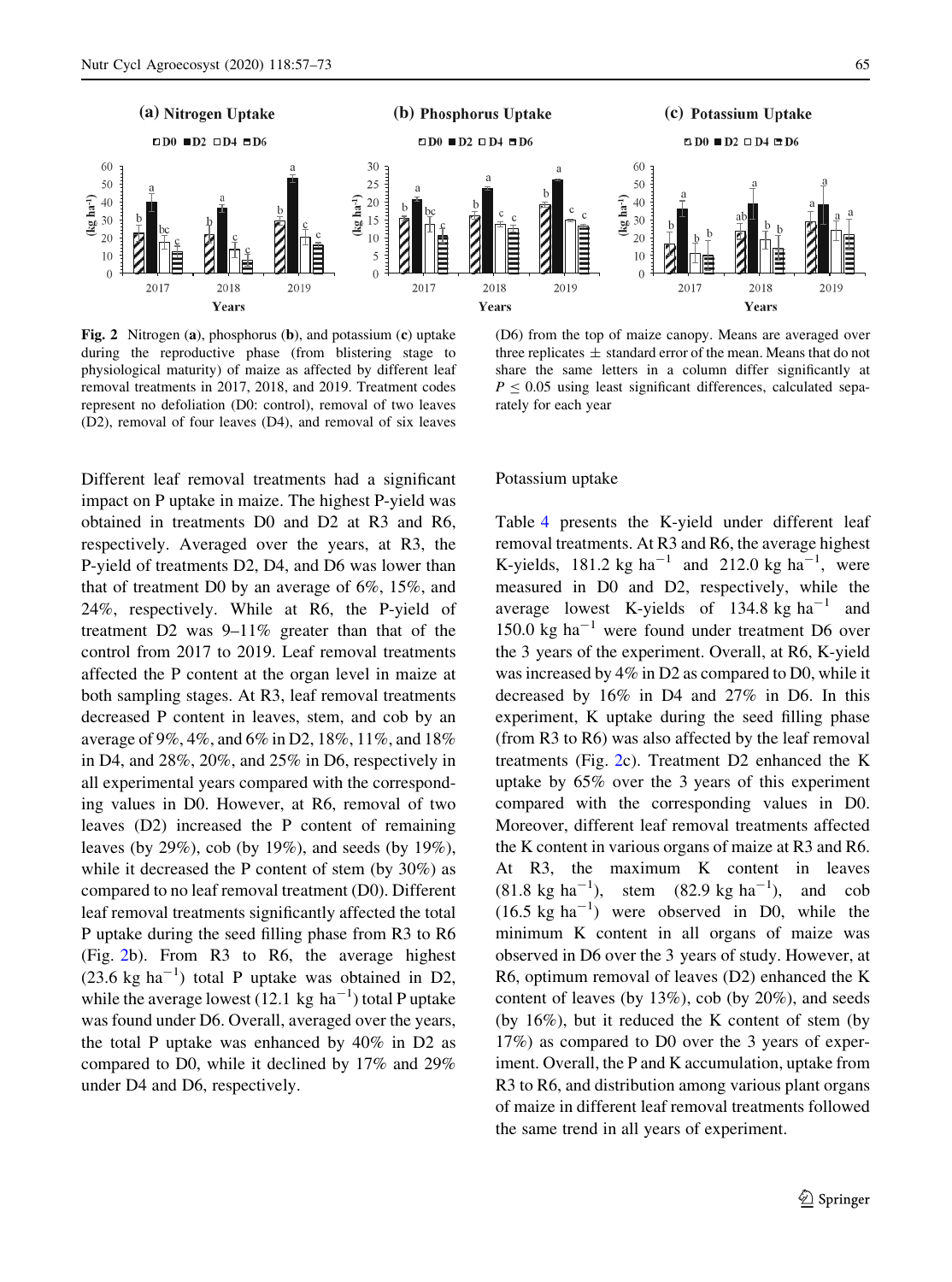<span id="page-9-0"></span>

Fig. 2 Nitrogen (a), phosphorus (b), and potassium (c) uptake during the reproductive phase (from blistering stage to physiological maturity) of maize as affected by different leaf removal treatments in 2017, 2018, and 2019. Treatment codes represent no defoliation (D0: control), removal of two leaves (D2), removal of four leaves (D4), and removal of six leaves

Different leaf removal treatments had a significant impact on P uptake in maize. The highest P-yield was obtained in treatments D0 and D2 at R3 and R6, respectively. Averaged over the years, at R3, the P-yield of treatments D2, D4, and D6 was lower than that of treatment D0 by an average of 6%, 15%, and 24%, respectively. While at R6, the P-yield of treatment D2 was 9–11% greater than that of the control from 2017 to 2019. Leaf removal treatments affected the P content at the organ level in maize at both sampling stages. At R3, leaf removal treatments decreased P content in leaves, stem, and cob by an average of 9%, 4%, and 6% in D2, 18%, 11%, and 18% in D4, and 28%, 20%, and 25% in D6, respectively in all experimental years compared with the corresponding values in D0. However, at R6, removal of two leaves (D2) increased the P content of remaining leaves (by 29%), cob (by 19%), and seeds (by 19%), while it decreased the P content of stem (by 30%) as compared to no leaf removal treatment (D0). Different leaf removal treatments significantly affected the total P uptake during the seed filling phase from R3 to R6 (Fig. 2b). From R3 to R6, the average highest  $(23.6 \text{ kg ha}^{-1})$  total P uptake was obtained in D2, while the average lowest (12.1 kg  $ha^{-1}$ ) total P uptake was found under D6. Overall, averaged over the years, the total P uptake was enhanced by 40% in D2 as compared to D0, while it declined by 17% and 29% under D4 and D6, respectively.

(D6) from the top of maize canopy. Means are averaged over three replicates  $\pm$  standard error of the mean. Means that do not share the same letters in a column differ significantly at  $P \le 0.05$  using least significant differences, calculated separately for each year

#### Potassium uptake

Table [4](#page-11-0) presents the K-yield under different leaf removal treatments. At R3 and R6, the average highest K-yields, 181.2 kg ha<sup>-1</sup> and 212.0 kg ha<sup>-1</sup>, were measured in D0 and D2, respectively, while the average lowest K-yields of 134.8 kg  $ha^{-1}$  and 150.0 kg ha<sup> $-1$ </sup> were found under treatment D6 over the 3 years of the experiment. Overall, at R6, K-yield was increased by 4% in D2 as compared to D0, while it decreased by 16% in D4 and 27% in D6. In this experiment, K uptake during the seed filling phase (from R3 to R6) was also affected by the leaf removal treatments (Fig. 2c). Treatment D2 enhanced the K uptake by 65% over the 3 years of this experiment compared with the corresponding values in D0. Moreover, different leaf removal treatments affected the K content in various organs of maize at R3 and R6. At R3, the maximum K content in leaves  $(81.8 \text{ kg ha}^{-1})$ , stem  $(82.9 \text{ kg ha}^{-1})$ , and cob  $(16.5 \text{ kg ha}^{-1})$  were observed in D0, while the minimum K content in all organs of maize was observed in D6 over the 3 years of study. However, at R6, optimum removal of leaves (D2) enhanced the K content of leaves (by 13%), cob (by 20%), and seeds (by 16%), but it reduced the K content of stem (by 17%) as compared to D0 over the 3 years of experiment. Overall, the P and K accumulation, uptake from R3 to R6, and distribution among various plant organs of maize in different leaf removal treatments followed the same trend in all years of experiment.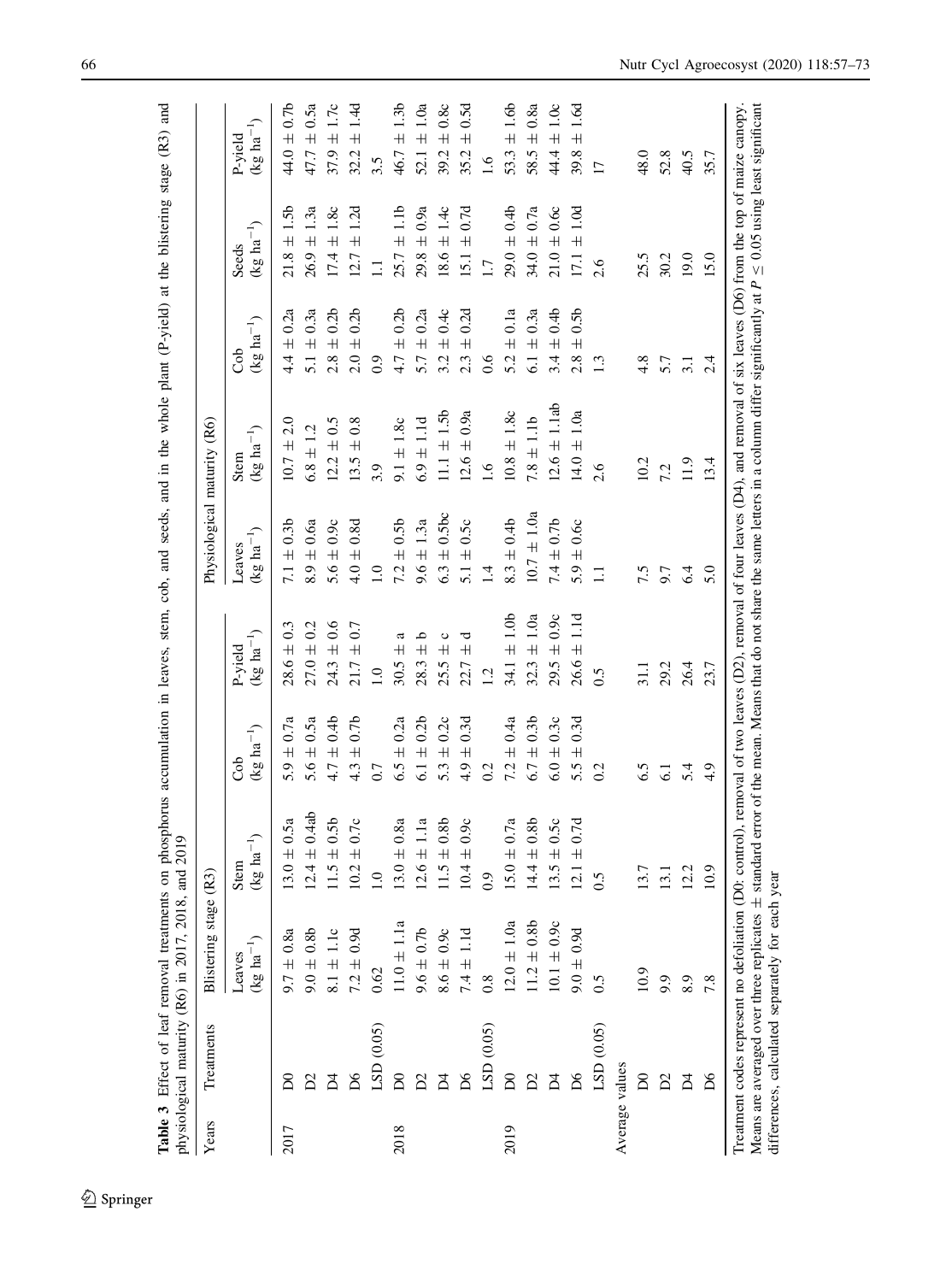<span id="page-10-0"></span>

| 111111                                                                                                                                                                                                                         |             |
|--------------------------------------------------------------------------------------------------------------------------------------------------------------------------------------------------------------------------------|-------------|
| $\lim_{\alpha \to 0}$ and                                                                                                                                                                                                      |             |
|                                                                                                                                                                                                                                |             |
| i pres                                                                                                                                                                                                                         |             |
|                                                                                                                                                                                                                                |             |
|                                                                                                                                                                                                                                |             |
|                                                                                                                                                                                                                                |             |
|                                                                                                                                                                                                                                |             |
| the state of the correction of the correction of the correction of the correction of the correction of the correction of the correction of the correction of the correction of the correction of the correction of the correct |             |
|                                                                                                                                                                                                                                |             |
|                                                                                                                                                                                                                                |             |
|                                                                                                                                                                                                                                |             |
|                                                                                                                                                                                                                                |             |
|                                                                                                                                                                                                                                |             |
|                                                                                                                                                                                                                                |             |
|                                                                                                                                                                                                                                |             |
|                                                                                                                                                                                                                                |             |
|                                                                                                                                                                                                                                |             |
|                                                                                                                                                                                                                                |             |
|                                                                                                                                                                                                                                |             |
| on phosphorus accumulation in leaves, stem, cob, and seeds, and in the whole plant $(P)$<br>and in the south which was                                                                                                         |             |
|                                                                                                                                                                                                                                |             |
|                                                                                                                                                                                                                                |             |
|                                                                                                                                                                                                                                |             |
|                                                                                                                                                                                                                                |             |
|                                                                                                                                                                                                                                |             |
|                                                                                                                                                                                                                                |             |
|                                                                                                                                                                                                                                | ¢<br>J<br>ì |
|                                                                                                                                                                                                                                | i           |
| ١                                                                                                                                                                                                                              | í<br>¢      |
| I<br>1<br>i                                                                                                                                                                                                                    |             |
|                                                                                                                                                                                                                                | l           |
| i                                                                                                                                                                                                                              | くく しゃくこく    |
|                                                                                                                                                                                                                                |             |
|                                                                                                                                                                                                                                |             |
|                                                                                                                                                                                                                                |             |
|                                                                                                                                                                                                                                |             |
|                                                                                                                                                                                                                                |             |
|                                                                                                                                                                                                                                |             |

| Years | Treatments                                                                                       | Blistering stage (R3)           |                                    |                        |                           | Physiological maturity (R6)     |                                                                                                                                                                                                                                                                                                                                 |                        |                         |                             |
|-------|--------------------------------------------------------------------------------------------------|---------------------------------|------------------------------------|------------------------|---------------------------|---------------------------------|---------------------------------------------------------------------------------------------------------------------------------------------------------------------------------------------------------------------------------------------------------------------------------------------------------------------------------|------------------------|-------------------------|-----------------------------|
|       |                                                                                                  | $(\text{kg ha}^{-1})$<br>Leaves | Stem<br>$(\text{kg ha}^{-1})$      | (kg $ha^{-1}$ )<br>Cob | $(kg ha^{-1})$<br>P-yield | $(\text{kg ha}^{-1})$<br>Leaves | (kg $ha^{-1}$ )<br>Stem                                                                                                                                                                                                                                                                                                         | $(kg \ ha^{-1})$<br>රි | $(kg ha^{-1})$<br>Seeds | $(kg \ ha^{-1})$<br>P-yield |
| 2017  | $_{\rm D0}$                                                                                      | $9.7 \pm 0.8a$                  | $13.0 \pm 0.5a$                    | $5.9 \pm 0.7a$         | $28.6 \pm 0.3$            | $7.1 \pm 0.3$                   | $10.7 \pm 2.0$                                                                                                                                                                                                                                                                                                                  | $4.4 \pm 0.2a$         | $21.8 \pm 1.5$          | $44.0 \pm 0.7$ b            |
|       |                                                                                                  | $-48.0 \pm 0.8$                 | $.4 \pm 0.4ab$<br>$\overline{5}$   | $5.6 \pm 0.5a$         | $27.0 \pm 0.2$            | $8.9 \pm 0.6a$                  | $6.8 \pm 1.2$                                                                                                                                                                                                                                                                                                                   | $5.1 \pm 0.3a$         | $26.9 \pm 1.3a$         | $47.7 \pm 0.5a$             |
|       |                                                                                                  | $8.1 \pm 1.1c$                  | $11.5 \pm 0.5b$                    | $4.7 \pm 0.46$         | $24.3 \pm 0.6$            | $5.6 \pm 0.9c$                  | $12.2 \pm 0.5$                                                                                                                                                                                                                                                                                                                  | $2.8 \pm 0.2b$         | $17.4 \pm 1.8c$         | $37.9 \pm 1.7c$             |
|       | $\mathsf{D6}$                                                                                    | $7.2 \pm 0.9d$                  | $\pm 0.7c$<br>Ċ,                   | $4.3 \pm 0.7$ b        | $21.7 \pm 0.7$            | $4.0 \pm 0.8d$                  | $13.5 \pm 0.8$                                                                                                                                                                                                                                                                                                                  | $2.0 \pm 0.2$          | $12.7 \pm 1.2d$         | $\pm 1.4$ d<br>32.2         |
|       | LSD(0.05)                                                                                        | 0.62                            | ≊                                  | 0.7                    | $\overline{1.0}$          | 1.0                             | 3.9                                                                                                                                                                                                                                                                                                                             | 0.9                    | $\Box$                  | 3.5                         |
| 2018  | $\overline{D}$                                                                                   | $11.0 \pm 1.1a$                 | $13.0 \pm 0.8a$                    | $6.5 \pm 0.2a$         | ದ<br>$30.5 \pm$           | $7.2 \pm 0.5$                   | $9.1 \pm 1.8c$                                                                                                                                                                                                                                                                                                                  | $4.7 \pm 0.2b$         | $25.7 \pm 1.1b$         | $46.7 \pm 1.3b$             |
|       |                                                                                                  | $-0.0 \pm 0.76$                 | $12.6 \pm 1.1a$                    | $6.1 \pm 0.2b$         | $28.3 + b$                | $9.6 \pm 1.3a$                  | $6.9 \pm 1.1d$                                                                                                                                                                                                                                                                                                                  | $5.7 \pm 0.2a$         | $29.8 \pm 0.9a$         | $52.1 \pm 1.0a$             |
|       | 24                                                                                               | $8.6 \pm 0.9c$                  | $\pm 0.8b$<br>S.                   | 5.3 $\pm$ 0.2c         | O<br>$25.5 \pm$           | $6.3 \pm 0.5$ bc                | $11.1 \pm 1.5$                                                                                                                                                                                                                                                                                                                  | $3.2 \pm 0.4c$         | $18.6 \pm 1.4c$         | $\pm 0.8c$<br>39.2          |
|       | $^{56}$                                                                                          | $7.4 \pm 1.1d$                  | $\pm 0.9c$<br>4<br>$\overline{10}$ | $4.9 \pm 0.3$ d        | ರ<br>$22.7 \pm$           | 5.1 $\pm$ 0.5 $c$               | $12.6 \pm 0.9a$                                                                                                                                                                                                                                                                                                                 | $2.3 \pm 0.2d$         | $15.1 \pm 0.7d$         | $\pm 0.5$ d<br>35.2         |
|       | LSD (0.05)                                                                                       | $0.\overline{8}$                | $\ddot{\circ}$                     | 0.2                    | 1.2                       | $\vec{=}$                       | 1.6                                                                                                                                                                                                                                                                                                                             | 0.6                    | $\overline{1}$ .        | $-1.6$                      |
| 2019  | $\overline{D}$                                                                                   | $12.0 \pm 1.0a$                 | $15.0 \pm 0.7a$                    | $7.2 \pm 0.4a$         | $34.1 \pm 1.0$            | $8.3 \pm 0.4$ b                 | $10.8 \pm 1.8c$                                                                                                                                                                                                                                                                                                                 | $5.2 \pm 0.1a$         | $29.0 \pm 0.4$          | $53.3 \pm 1.6b$             |
|       |                                                                                                  | $11.2 \pm 0.8$                  | $\pm 0.8b$<br>्मं<br>$\vec{4}$     | $6.7 \pm 0.3$          | $32.3 \pm 1.0a$           | $10.7 \pm 1.0a$                 | $7.8 \pm 1.1b$                                                                                                                                                                                                                                                                                                                  | $6.1 \pm 0.3a$         | $34.0 \pm 0.7a$         | $58.5 \pm 0.8a$             |
|       |                                                                                                  | $10.1 \pm 0.9c$                 | $\pm 0.5c$<br>13.5                 | $6.0 \pm 0.3c$         | $29.5 \pm 0.9c$           | $7.4 \pm 0.76$                  | $12.6 \pm 1.1$ ab                                                                                                                                                                                                                                                                                                               | $3.4 \pm 0.4$          | $21.0 \pm 0.6c$         | $44.4 \pm 1.0c$             |
|       | $\overline{D6}$                                                                                  | $6.0 \pm 0.9$                   | $12.1 \pm 0.7d$                    | $5.5 \pm 0.3d$         | $26.6 \pm 1.1d$           | $5.9 \pm 0.6c$                  | $14.0 \pm 1.0a$                                                                                                                                                                                                                                                                                                                 | $2.8 \pm 0.5$          | $17.1 \pm 1.0d$         | $\pm 1.6d$<br>39.8          |
|       | LSD (0.05)                                                                                       | 0.5                             | 0.5                                | 0.2                    | 0.5                       | Ξ                               | 2.6                                                                                                                                                                                                                                                                                                                             | 1.3                    | 2.6                     | $\overline{17}$             |
|       | Average values                                                                                   |                                 |                                    |                        |                           |                                 |                                                                                                                                                                                                                                                                                                                                 |                        |                         |                             |
|       | $\mathsf{D}0$                                                                                    | 10.9                            | 13.7                               | 6.5                    | 31.1                      | 7.5                             | 10.2                                                                                                                                                                                                                                                                                                                            | 4.8                    | 25.5                    | 48.0                        |
|       | ട്                                                                                               | 9.9                             | 13                                 | 5                      | 29.2                      | 9.7                             | 7.2                                                                                                                                                                                                                                                                                                                             | 5.7                    | 30.2                    | 52.8                        |
|       | $\vec{p}$                                                                                        | 8.9                             | Ċ<br>$\overline{c}$                | 5.4                    | 26.4                      | 6.4                             | 11.9                                                                                                                                                                                                                                                                                                                            | $\Xi$                  | 19.0                    | 40.5                        |
|       | $\overline{D6}$                                                                                  | 7.8                             | $\circ$<br>$\dot{\mathbf{c}}$      | 4.9                    | 23.7                      | 5.0                             | 13.4                                                                                                                                                                                                                                                                                                                            | 2.4                    | 15.0                    | 35.7                        |
|       | differences, calculated separately for each yea<br>Treatment codes represent no defoliation (D0: |                                 |                                    |                        |                           |                                 | Means are averaged over three replicates $\pm$ standard error of the mean. Means that do not share the same letters in a column differ significantly at $P \leq 0.05$ using least significant<br>control), removal of two leaves (D2), removal of four leaves (D4), and removal of six leaves (D6) from the top of maize canopy |                        |                         |                             |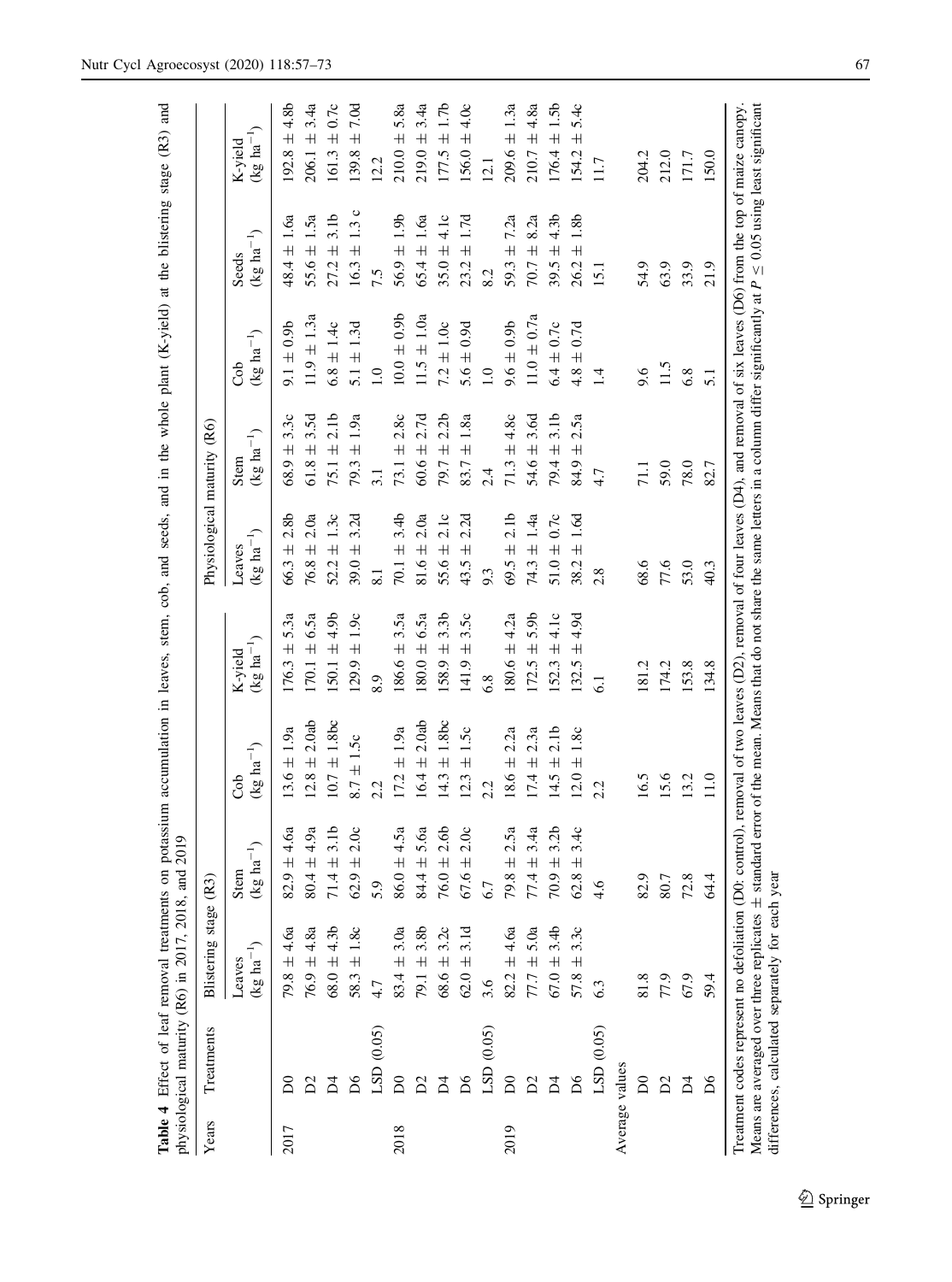|       |                | physiological maturity (R6) in 2017, 2018, and | 2019                                         |                        |                                            |                             |                               | $\sim$ $\sim$ $\sim$ $\sim$  |                                |                                  |
|-------|----------------|------------------------------------------------|----------------------------------------------|------------------------|--------------------------------------------|-----------------------------|-------------------------------|------------------------------|--------------------------------|----------------------------------|
| Years | Treatments     | Blistering stage (R3)                          |                                              |                        |                                            | Physiological maturity (R6) |                               |                              |                                |                                  |
|       |                | $(\text{kg ha}^{-1})$<br>Leaves                | $\overline{a}^{-1}$<br>Stem<br>$($ kg h      | $(kg \ ha^{-1})$<br>ර් | $\left(kg~{\rm ha}^{-1}\right)$<br>K-yield | $(kg ha^{-1})$<br>Leaves    | $(\text{kg ha}^{-1})$<br>Stem | $(\text{kg ha}^{-1})$<br>Cob | $(kg \ ha^{-1})$<br>Seeds      | $(\text{kg ha}^{-1})$<br>K-yield |
| 2017  |                | $79.8 \pm 4.6a$                                | $\pm 4.6a$<br>82.9                           | $13.6 \pm 1.9a$        | $176.3 \pm 5.3a$                           | $66.3 \pm 2.8b$             | $68.9 \pm 3.3c$               | $9.1 \pm 0.9$                | $48.4 \pm 1.6a$                | $192.8 \pm 4.8$ b                |
|       | Σ              | $76.9 \pm 4.8a$                                | 4.9a<br>$\overline{+}$<br>80.4               | $12.8 \pm 2.0$ ab      | $170.1 \pm 6.5a$                           | $76.8 \pm 2.0a$             | $61.8 \pm 3.5d$               | $11.9 \pm 1.3a$              | $55.6 \pm 1.5a$                | $206.1 \pm 3.4a$                 |
|       | Σ              | $68.0 \pm 4.3b$                                | 3.1 <sub>b</sub><br>$\overline{+}$<br>$71.4$ | $10.7 \pm 1.8$ bc      | $150.1 \pm 4.9b$                           | $52.2 \pm 1.3c$             | $75.1 \pm 2.1b$               | $6.8 \pm 1.4c$               | $27.2 \pm 3.1b$                | $161.3 \pm 0.7c$                 |
|       | δq             | $58.3 \pm 1.8c$                                | 2.0c<br>$\overline{+}$<br>62.9               | $8.7 \pm 1.5c$         | $(29.9 \pm 1.9c$                           | $39.0 \pm 3.2d$             | $79.3 \pm 1.9a$               | $5.1 \pm 1.3d$               | $16.3 \pm 1.3$ c               | $139.8 \pm 7.0d$                 |
|       | LSD(0.05)      | 4.7                                            | 5.9                                          | 2.2                    | 8.9                                        | $\overline{\phantom{0}}$    | 3.1                           | 1.0                          | 7.5                            | 12.2                             |
| 2018  | $\mathsf{D}0$  | $83.4 \pm 3.0a$                                | 4.5a<br>$\!$ $\!$ $\!$ $\!$<br>86.0          | $17.2 \pm 1.9a$        | $186.6 \pm 3.5a$                           | $70.1 \pm 3.4b$             | 73.1 $\pm$ 2.8c               | $10.0 \pm 0.9$               | $56.9 \pm 1.9b$                | $210.0 \pm 5.8a$                 |
|       | $\sum$         | $79.1 \pm 3.8b$                                | 5.6a<br>$\!$ $\!$ $\!$<br>84.4               | $16.4 \pm 2.0$ ab      | $180.0 \pm 6.5a$                           | $81.6 \pm 2.0a$             | $60.6 \pm 2.7d$               | $11.5 \pm 1.0a$              | $65.4 \pm 1.6a$                | $219.0 \pm 3.4a$                 |
|       | Ă              | $68.6 \pm 3.2c$                                | 2.6 <sub>b</sub><br>$+$<br>76.0              | $14.3 \pm 1.8$ bc      | $158.9 \pm 3.3b$                           | $55.6 \pm 2.1c$             | $79.7 \pm 2.2b$               | $7.2 \pm 1.0c$               | $35.0 \pm 4.1c$                | $177.5 \pm 1.7b$                 |
|       | $\mathsf{D6}$  | $62.0 \pm 3.1d$                                | 2.0c<br>$+$<br>67.6                          | $12.3 \pm 1.5c$        | $141.9 \pm 3.5c$                           | 2.2d<br>43.5 $\pm$          | $83.7 \pm 1.8a$               | $5.6 \pm 0.9d$               | $23.2 \pm 1.7d$                | $156.0 \pm 4.0c$                 |
|       | LSD(0.05)      | 3.6                                            | 6.7                                          | 2.2                    | 6.8                                        | 9.3                         | 2.4                           | 1.0                          | 8.2                            | 12.1                             |
| 2019  | $\mathsf{D}0$  | $82.2 \pm 4.6a$                                | 2.5a<br>$\overline{+}$<br>79.8               | $18.6 \pm 2.2a$        | $180.6 \pm 4.2a$                           | $69.5 \pm 2.1b$             | $71.3 \pm 4.8c$               | $9.6 \pm 0.9$                | 7.2a<br>$\overline{+}$<br>59.3 | $209.6 \pm 1.3a$                 |
|       | Σ              | $77.7 \pm 5.0a$                                | 3.4a<br>$+$<br>77.4                          | $17.4 \pm 2.3a$        | $172.5 \pm 5.9b$                           | $74.3 \pm 1.4a$             | $54.6 \pm 3.6d$               | $11.0 \pm 0.7a$              | $70.7 \pm 8.2a$                | $210.7 \pm 4.8a$                 |
|       | Σ              | $67.0 \pm 3.4b$                                | 3.2 <sub>b</sub><br>$+$<br>$70.9\,$          | $14.5 \pm 2.1b$        | $52.3 \pm 4.1c$                            | $51.0 \pm 0.7c$             | $79.4 \pm 3.1$ b              | $6.4 \pm 0.7c$               | ± 4.3 <sub>b</sub><br>39.5     | $176.4 \pm 1.5b$                 |
|       | δ              | $57.8 \pm 3.3c$                                | 3.4c<br>$\overline{+}$<br>$62.8$             | $12.0 \pm 1.8c$        | $132.5 \pm 4.9d$                           | $38.2 \pm 1.6d$             | 2.5a<br>$84.9 \pm 1$          | $4.8 \pm 0.7d$               | $26.2 \pm 1.8b$                | $154.2 \pm 5.4c$                 |
|       | LSD (0.05)     | 6.3                                            | 4.6                                          | 2.2                    |                                            | 2.8                         | 4.7                           | $\overline{14}$              | 15.1                           | 11.7                             |
|       | Average values |                                                |                                              |                        |                                            |                             |                               |                              |                                |                                  |
|       | $\mathsf{D}0$  | 81.8                                           | 82.9                                         | 16.5                   | 181.2                                      | 68.6                        | 71.1                          | 9.6                          | 54.9                           | 204.2                            |
|       | $\mathbb{Z}$   | 77.9                                           | 80.7                                         | 15.6                   | 174.2                                      | $77.6$                      | 59.0                          | 11.5                         | 63.9                           | 212.0                            |
|       | A<br>A         | 67.9                                           | $72.8$                                       | 13.2                   | 153.8                                      | 53.0                        | 78.0                          | 6.8                          | 33.9                           | 171.7                            |
|       | $\mathsf{D6}$  | 59.4                                           | 64.4                                         | 11.0                   | 134.8                                      | 40.3                        | 82.7                          | 5.1                          | 21.9                           | 150.0                            |

<span id="page-11-0"></span>Table 4 Effect of leaf removal treatments on potassium accumulation in leaves, stem, cob, and seeds, and in the whole plant (K-yield) at the blistering stage (R3) and Table 4 Effect of leaf removal treatments on potassium accumulation in leaves, stem, cob, and seeds, and in the whole plant (K-yield) at the blistering stage (R3) and

Treatment codes represent no defoliation (D0: control), removal of two leaves (D2), removal of four leaves (D4), and removal of six leaves (D6) from the top of maize canopy.<br>Means are averaged over three replicates  $\pm$  s Means are averaged over three replicates  $\pm$  standard error of the mean. Means that do not share the same letters in a column differ significantly at  $P \le 0.05$  using least significant Treatment codes represent no defoliation (D0: control), removal of two leaves (D2), removal of four leaves (D4), and removal of six leaves (D6) from the top of maize canopy. differences, calculated separately for each year differences, calculated separately for each year

134.8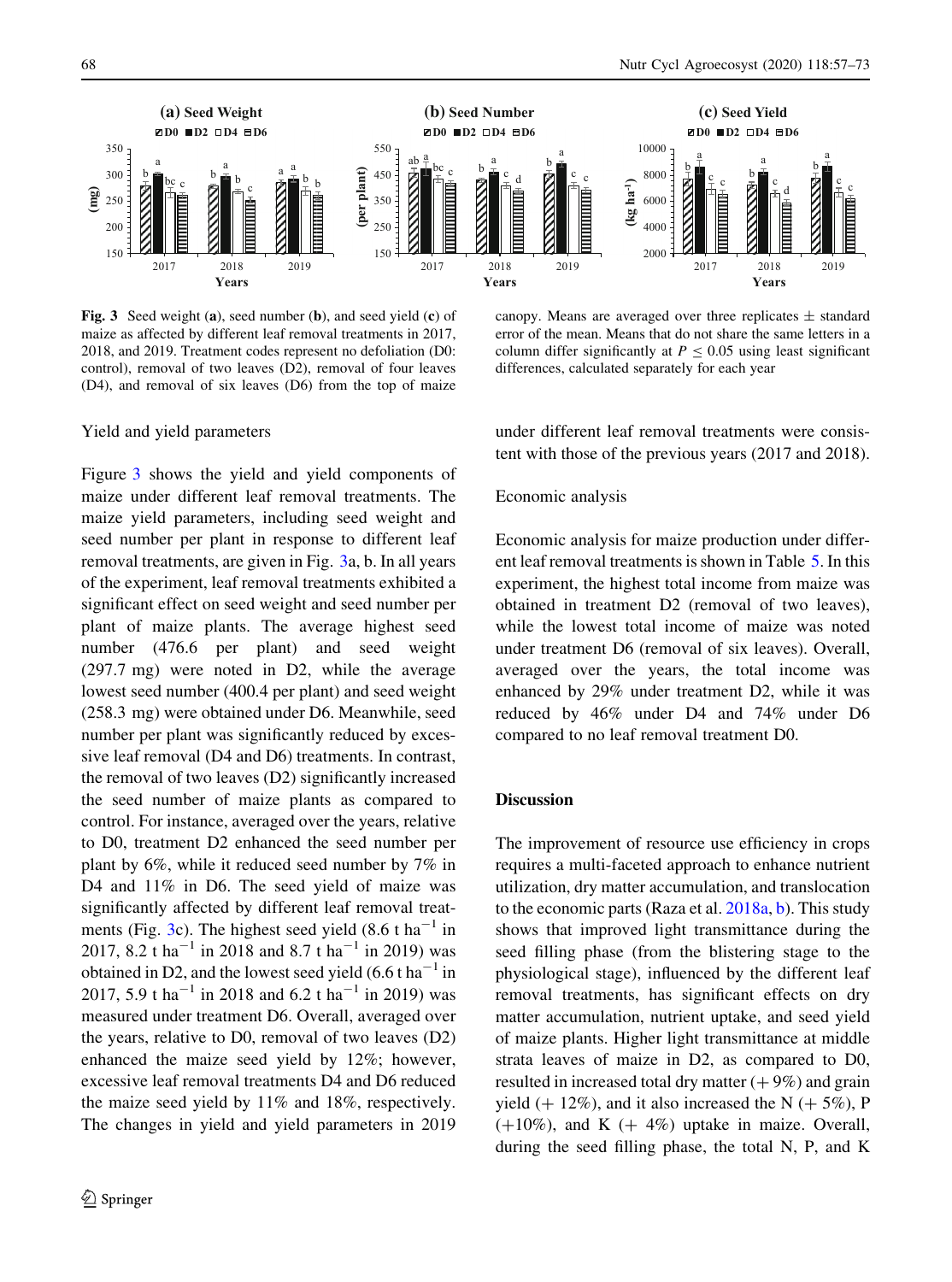

Fig. 3 Seed weight (a), seed number (b), and seed yield (c) of maize as affected by different leaf removal treatments in 2017, 2018, and 2019. Treatment codes represent no defoliation (D0: control), removal of two leaves (D2), removal of four leaves (D4), and removal of six leaves (D6) from the top of maize

canopy. Means are averaged over three replicates  $\pm$  standard error of the mean. Means that do not share the same letters in a column differ significantly at  $P \le 0.05$  using least significant differences, calculated separately for each year

#### Yield and yield parameters

Figure 3 shows the yield and yield components of maize under different leaf removal treatments. The maize yield parameters, including seed weight and seed number per plant in response to different leaf removal treatments, are given in Fig. 3a, b. In all years of the experiment, leaf removal treatments exhibited a significant effect on seed weight and seed number per plant of maize plants. The average highest seed number (476.6 per plant) and seed weight (297.7 mg) were noted in D2, while the average lowest seed number (400.4 per plant) and seed weight (258.3 mg) were obtained under D6. Meanwhile, seed number per plant was significantly reduced by excessive leaf removal (D4 and D6) treatments. In contrast, the removal of two leaves (D2) significantly increased the seed number of maize plants as compared to control. For instance, averaged over the years, relative to D0, treatment D2 enhanced the seed number per plant by 6%, while it reduced seed number by 7% in D4 and  $11\%$  in D6. The seed yield of maize was significantly affected by different leaf removal treatments (Fig. 3c). The highest seed yield  $(8.6 \text{ t} \text{ ha}^{-1} \text{ in}$ 2017, 8.2 t ha<sup>-1</sup> in 2018 and 8.7 t ha<sup>-1</sup> in 2019) was obtained in D2, and the lowest seed yield  $(6.6 \text{ t} \text{ ha}^{-1}$  in 2017, 5.9 t ha<sup>-1</sup> in 2018 and 6.2 t ha<sup>-1</sup> in 2019) was measured under treatment D6. Overall, averaged over the years, relative to D0, removal of two leaves (D2) enhanced the maize seed yield by 12%; however, excessive leaf removal treatments D4 and D6 reduced the maize seed yield by 11% and 18%, respectively. The changes in yield and yield parameters in 2019

under different leaf removal treatments were consistent with those of the previous years (2017 and 2018).

#### Economic analysis

Economic analysis for maize production under different leaf removal treatments is shown in Table [5](#page-13-0). In this experiment, the highest total income from maize was obtained in treatment D2 (removal of two leaves), while the lowest total income of maize was noted under treatment D6 (removal of six leaves). Overall, averaged over the years, the total income was enhanced by 29% under treatment D2, while it was reduced by 46% under D4 and 74% under D6 compared to no leaf removal treatment D0.

#### **Discussion**

The improvement of resource use efficiency in crops requires a multi-faceted approach to enhance nutrient utilization, dry matter accumulation, and translocation to the economic parts (Raza et al. [2018a,](#page-17-0) [b](#page-17-0)). This study shows that improved light transmittance during the seed filling phase (from the blistering stage to the physiological stage), influenced by the different leaf removal treatments, has significant effects on dry matter accumulation, nutrient uptake, and seed yield of maize plants. Higher light transmittance at middle strata leaves of maize in D2, as compared to D0, resulted in increased total dry matter  $(+9\%)$  and grain yield  $(+ 12\%)$ , and it also increased the N  $(+ 5\%)$ , P  $(+10\%)$ , and K  $(+4\%)$  uptake in maize. Overall, during the seed filling phase, the total N, P, and K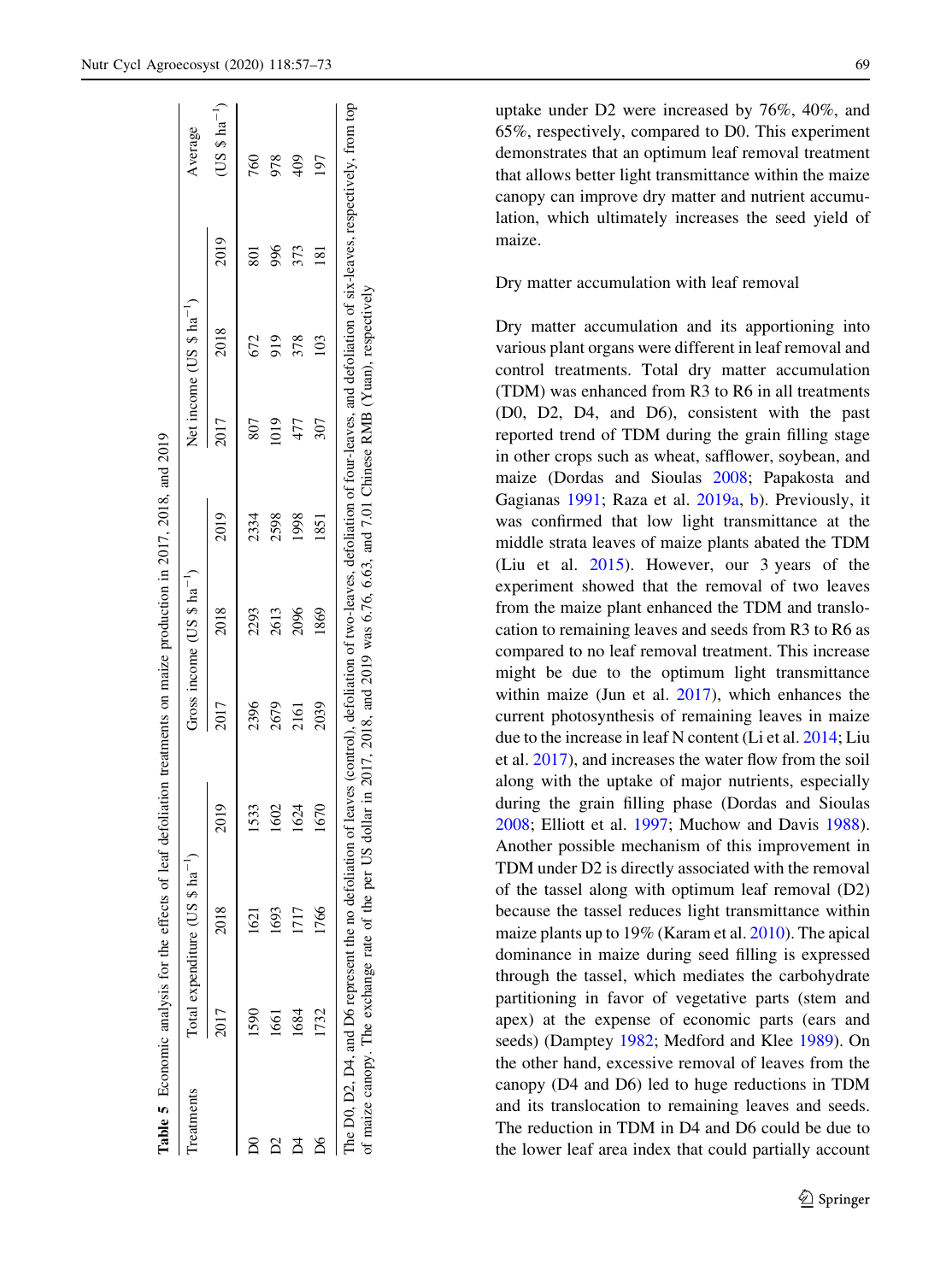<span id="page-13-0"></span>

| reatments |      | Total expenditure (US \$ ha <sup>-1</sup> ) |      |      | Gross income $(US $ ha^{-1})$ |      |                    | Net income $(US $ ha-1)$ |      | Average       |
|-----------|------|---------------------------------------------|------|------|-------------------------------|------|--------------------|--------------------------|------|---------------|
|           | 2017 | 2018                                        | 2019 | 2017 | 2018                          | 2019 | 2017               | 2018                     | 2019 | $(US $ ha-1)$ |
|           | 1590 | 1621                                        | 1533 | 2396 | 2293                          | 2334 | 807                | 672                      | 50   | 760           |
|           | 1661 | 1693                                        | 602  | 2679 | 2613                          | 2598 | $\hat{\mathbb{E}}$ | 919                      | 996  |               |
|           | 1684 | 117                                         | 1624 | 2161 | 2096                          | 1998 | 477                | 378                      | 373  |               |
|           | 732  | 1766                                        | 1670 | 2039 | 1869                          | 1851 | 307                | $\frac{10}{3}$           | 81   | <b>L6</b>     |

Dry matter accumulation with leaf removal Dry matter accumulation and its apportioning into various plant organs were different in leaf removal and control treatments. Total dry matter accumulation (TDM) was enhanced from R3 to R6 in all treatments (D0, D2, D4, and D6), consistent with the past reported trend of TDM during the grain filling stage in other crops such as wheat, safflower, soybean, and maize (Dordas and Sioulas [2008;](#page-16-0) Papakosta and Gagianas [1991;](#page-16-0) Raza et al. [2019a](#page-17-0), [b](#page-17-0)). Previously, it was confirmed that low light transmittance at the middle strata leaves of maize plants abated the TDM (Liu et al. [2015](#page-16-0)). However, our 3 years of the experiment showed that the removal of two leaves from the maize plant enhanced the TDM and translocation to remaining leaves and seeds from R3 to R6 as compared to no leaf removal treatment. This increase might be due to the optimum light transmittance within maize (Jun et al. [2017\)](#page-16-0), which enhances the current photosynthesis of remaining leaves in maize due to the increase in leaf N content (Li et al. [2014;](#page-16-0) Liu et al. [2017](#page-16-0)), and increases the water flow from the soil along with the uptake of major nutrients, especially during the grain filling phase (Dordas and Sioulas [2008;](#page-16-0) Elliott et al. [1997](#page-16-0); Muchow and Davis [1988](#page-16-0)). Another possible mechanism of this improvement in TDM under D2 is directly associated with the removal of the tassel along with optimum leaf removal (D2) because the tassel reduces light transmittance within maize plants up to 19% (Karam et al. [2010](#page-16-0)). The apical dominance in maize during seed filling is expressed through the tassel, which mediates the carbohydrate partitioning in favor of vegetative parts (stem and apex) at the expense of economic parts (ears and seeds) (Damptey [1982;](#page-16-0) Medford and Klee [1989](#page-16-0)). On

the other hand, excessive removal of leaves from the canopy (D4 and D6) led to huge reductions in TDM and its translocation to remaining leaves and seeds. The reduction in TDM in D4 and D6 could be due to

the lower leaf area index that could partially account

uptake under D2 were increased by 76%, 40%, and 65%, respectively, compared to D0. This experiment demonstrates that an optimum leaf removal treatment that allows better light transmittance within the maize canopy can improve dry matter and nutrient accumulation, which ultimately increases the seed yield of maize.

<sup>2</sup> Springer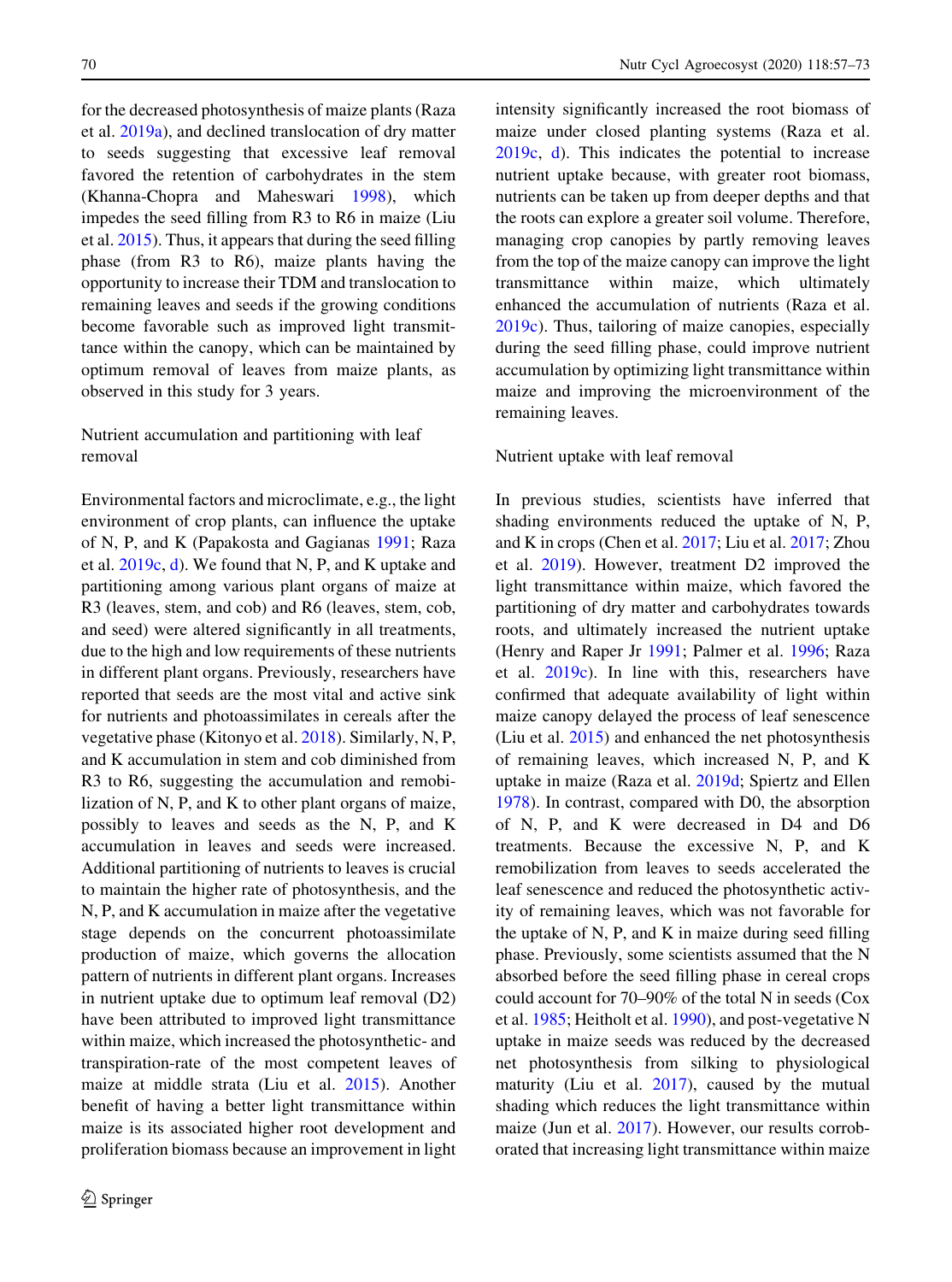for the decreased photosynthesis of maize plants (Raza et al. [2019a](#page-17-0)), and declined translocation of dry matter to seeds suggesting that excessive leaf removal favored the retention of carbohydrates in the stem (Khanna-Chopra and Maheswari [1998](#page-16-0)), which impedes the seed filling from R3 to R6 in maize (Liu et al. [2015\)](#page-16-0). Thus, it appears that during the seed filling phase (from R3 to R6), maize plants having the opportunity to increase their TDM and translocation to remaining leaves and seeds if the growing conditions become favorable such as improved light transmittance within the canopy, which can be maintained by optimum removal of leaves from maize plants, as observed in this study for 3 years.

#### Nutrient accumulation and partitioning with leaf removal

Environmental factors and microclimate, e.g., the light environment of crop plants, can influence the uptake of N, P, and K (Papakosta and Gagianas [1991](#page-16-0); Raza et al. [2019c,](#page-17-0) [d\)](#page-17-0). We found that N, P, and K uptake and partitioning among various plant organs of maize at R3 (leaves, stem, and cob) and R6 (leaves, stem, cob, and seed) were altered significantly in all treatments, due to the high and low requirements of these nutrients in different plant organs. Previously, researchers have reported that seeds are the most vital and active sink for nutrients and photoassimilates in cereals after the vegetative phase (Kitonyo et al. [2018](#page-16-0)). Similarly, N, P, and K accumulation in stem and cob diminished from R3 to R6, suggesting the accumulation and remobilization of N, P, and K to other plant organs of maize, possibly to leaves and seeds as the N, P, and K accumulation in leaves and seeds were increased. Additional partitioning of nutrients to leaves is crucial to maintain the higher rate of photosynthesis, and the N, P, and K accumulation in maize after the vegetative stage depends on the concurrent photoassimilate production of maize, which governs the allocation pattern of nutrients in different plant organs. Increases in nutrient uptake due to optimum leaf removal (D2) have been attributed to improved light transmittance within maize, which increased the photosynthetic- and transpiration-rate of the most competent leaves of maize at middle strata (Liu et al. [2015](#page-16-0)). Another benefit of having a better light transmittance within maize is its associated higher root development and proliferation biomass because an improvement in light intensity significantly increased the root biomass of maize under closed planting systems (Raza et al. [2019c](#page-17-0), [d\)](#page-17-0). This indicates the potential to increase nutrient uptake because, with greater root biomass, nutrients can be taken up from deeper depths and that the roots can explore a greater soil volume. Therefore, managing crop canopies by partly removing leaves from the top of the maize canopy can improve the light transmittance within maize, which ultimately enhanced the accumulation of nutrients (Raza et al. [2019c](#page-17-0)). Thus, tailoring of maize canopies, especially during the seed filling phase, could improve nutrient accumulation by optimizing light transmittance within maize and improving the microenvironment of the remaining leaves.

#### Nutrient uptake with leaf removal

In previous studies, scientists have inferred that shading environments reduced the uptake of N, P, and K in crops (Chen et al. [2017](#page-16-0); Liu et al. [2017](#page-16-0); Zhou et al. [2019](#page-17-0)). However, treatment D2 improved the light transmittance within maize, which favored the partitioning of dry matter and carbohydrates towards roots, and ultimately increased the nutrient uptake (Henry and Raper Jr [1991](#page-16-0); Palmer et al. [1996](#page-16-0); Raza et al. [2019c\)](#page-17-0). In line with this, researchers have confirmed that adequate availability of light within maize canopy delayed the process of leaf senescence (Liu et al. [2015](#page-16-0)) and enhanced the net photosynthesis of remaining leaves, which increased N, P, and K uptake in maize (Raza et al. [2019d](#page-17-0); Spiertz and Ellen [1978\)](#page-17-0). In contrast, compared with D0, the absorption of N, P, and K were decreased in D4 and D6 treatments. Because the excessive N, P, and K remobilization from leaves to seeds accelerated the leaf senescence and reduced the photosynthetic activity of remaining leaves, which was not favorable for the uptake of N, P, and K in maize during seed filling phase. Previously, some scientists assumed that the N absorbed before the seed filling phase in cereal crops could account for 70–90% of the total N in seeds (Cox et al. [1985;](#page-16-0) Heitholt et al. [1990\)](#page-16-0), and post-vegetative N uptake in maize seeds was reduced by the decreased net photosynthesis from silking to physiological maturity (Liu et al. [2017](#page-16-0)), caused by the mutual shading which reduces the light transmittance within maize (Jun et al. [2017\)](#page-16-0). However, our results corroborated that increasing light transmittance within maize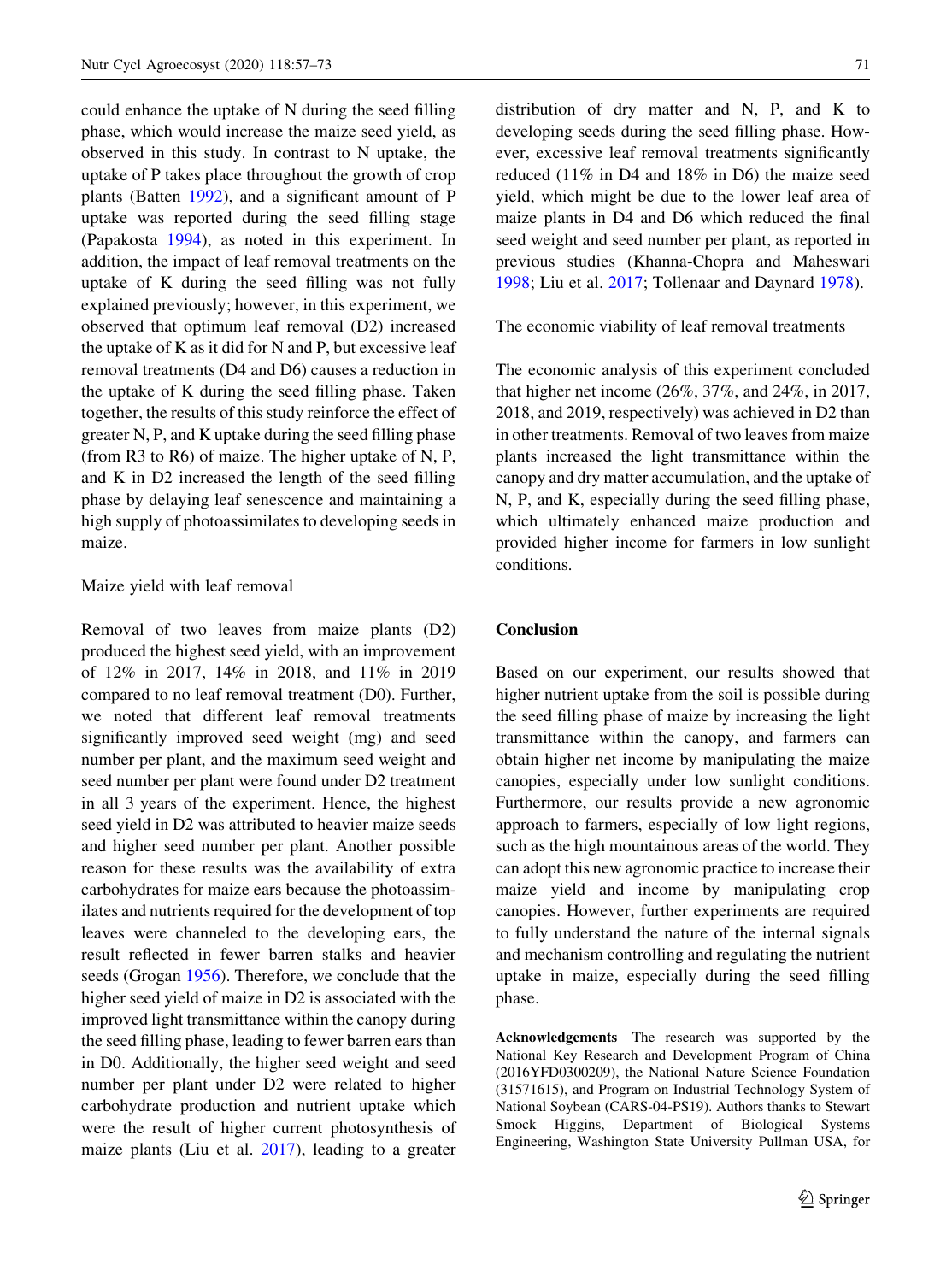could enhance the uptake of N during the seed filling phase, which would increase the maize seed yield, as observed in this study. In contrast to N uptake, the uptake of P takes place throughout the growth of crop plants (Batten [1992](#page-16-0)), and a significant amount of P uptake was reported during the seed filling stage (Papakosta [1994\)](#page-16-0), as noted in this experiment. In addition, the impact of leaf removal treatments on the uptake of K during the seed filling was not fully explained previously; however, in this experiment, we observed that optimum leaf removal (D2) increased the uptake of K as it did for N and P, but excessive leaf removal treatments (D4 and D6) causes a reduction in the uptake of K during the seed filling phase. Taken together, the results of this study reinforce the effect of greater N, P, and K uptake during the seed filling phase (from R3 to R6) of maize. The higher uptake of N, P, and K in D2 increased the length of the seed filling phase by delaying leaf senescence and maintaining a high supply of photoassimilates to developing seeds in maize.

#### Maize yield with leaf removal

Removal of two leaves from maize plants (D2) produced the highest seed yield, with an improvement of 12% in 2017, 14% in 2018, and 11% in 2019 compared to no leaf removal treatment (D0). Further, we noted that different leaf removal treatments significantly improved seed weight (mg) and seed number per plant, and the maximum seed weight and seed number per plant were found under D2 treatment in all 3 years of the experiment. Hence, the highest seed yield in D2 was attributed to heavier maize seeds and higher seed number per plant. Another possible reason for these results was the availability of extra carbohydrates for maize ears because the photoassimilates and nutrients required for the development of top leaves were channeled to the developing ears, the result reflected in fewer barren stalks and heavier seeds (Grogan [1956\)](#page-16-0). Therefore, we conclude that the higher seed yield of maize in D2 is associated with the improved light transmittance within the canopy during the seed filling phase, leading to fewer barren ears than in D0. Additionally, the higher seed weight and seed number per plant under D2 were related to higher carbohydrate production and nutrient uptake which were the result of higher current photosynthesis of maize plants (Liu et al.  $2017$ ), leading to a greater

distribution of dry matter and N, P, and K to developing seeds during the seed filling phase. However, excessive leaf removal treatments significantly reduced (11% in D4 and 18% in D6) the maize seed yield, which might be due to the lower leaf area of maize plants in D4 and D6 which reduced the final seed weight and seed number per plant, as reported in previous studies (Khanna-Chopra and Maheswari [1998;](#page-16-0) Liu et al. [2017;](#page-16-0) Tollenaar and Daynard [1978](#page-17-0)).

The economic viability of leaf removal treatments

The economic analysis of this experiment concluded that higher net income (26%, 37%, and 24%, in 2017, 2018, and 2019, respectively) was achieved in D2 than in other treatments. Removal of two leaves from maize plants increased the light transmittance within the canopy and dry matter accumulation, and the uptake of N, P, and K, especially during the seed filling phase, which ultimately enhanced maize production and provided higher income for farmers in low sunlight conditions.

#### Conclusion

Based on our experiment, our results showed that higher nutrient uptake from the soil is possible during the seed filling phase of maize by increasing the light transmittance within the canopy, and farmers can obtain higher net income by manipulating the maize canopies, especially under low sunlight conditions. Furthermore, our results provide a new agronomic approach to farmers, especially of low light regions, such as the high mountainous areas of the world. They can adopt this new agronomic practice to increase their maize yield and income by manipulating crop canopies. However, further experiments are required to fully understand the nature of the internal signals and mechanism controlling and regulating the nutrient uptake in maize, especially during the seed filling phase.

Acknowledgements The research was supported by the National Key Research and Development Program of China (2016YFD0300209), the National Nature Science Foundation (31571615), and Program on Industrial Technology System of National Soybean (CARS-04-PS19). Authors thanks to Stewart Smock Higgins, Department of Biological Systems Engineering, Washington State University Pullman USA, for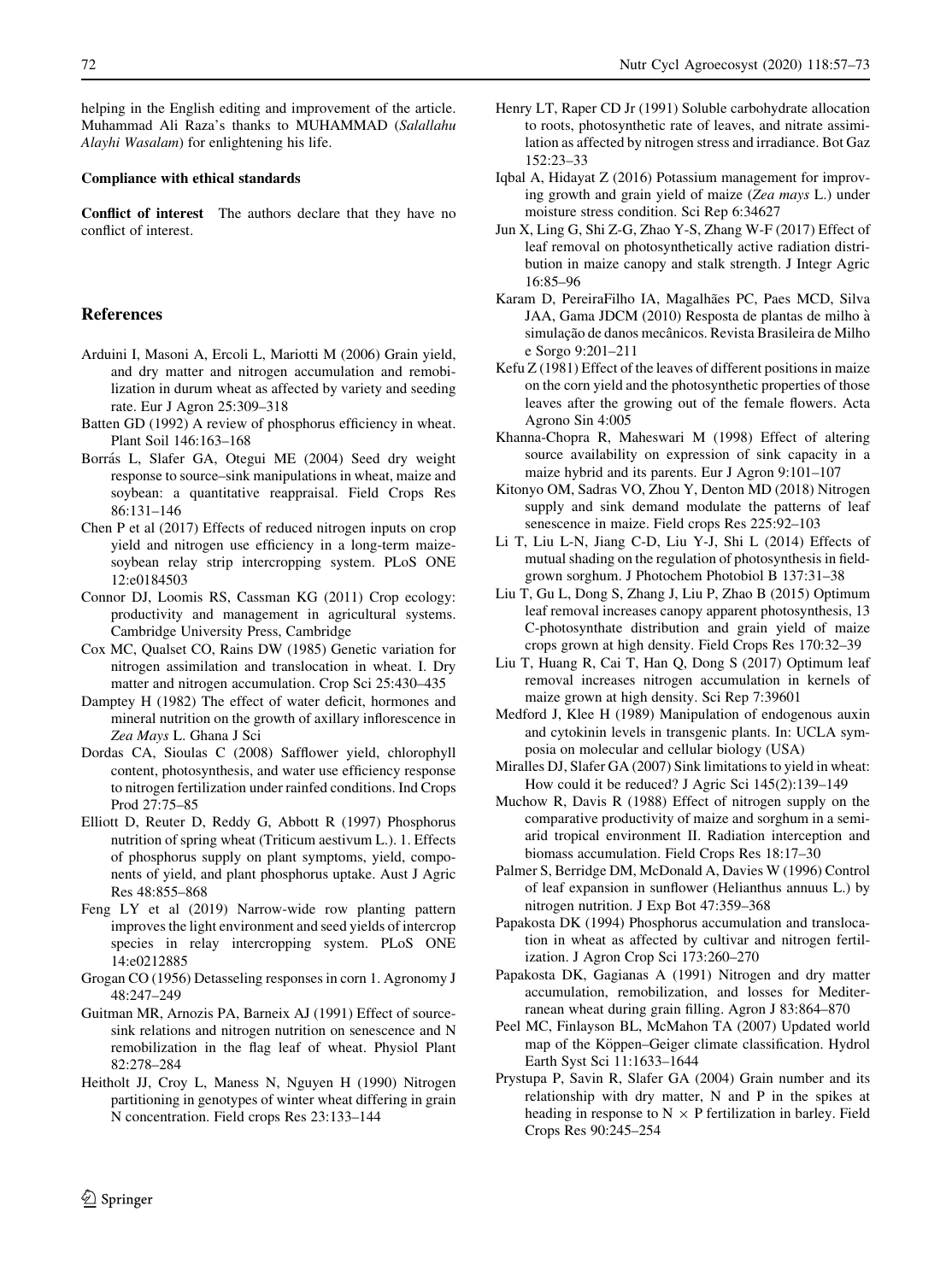<span id="page-16-0"></span>helping in the English editing and improvement of the article. Muhammad Ali Raza's thanks to MUHAMMAD (Salallahu Alayhi Wasalam) for enlightening his life.

#### Compliance with ethical standards

Conflict of interest The authors declare that they have no conflict of interest.

#### References

- Arduini I, Masoni A, Ercoli L, Mariotti M (2006) Grain yield, and dry matter and nitrogen accumulation and remobilization in durum wheat as affected by variety and seeding rate. Eur J Agron 25:309–318
- Batten GD (1992) A review of phosphorus efficiency in wheat. Plant Soil 146:163–168
- Borrás L, Slafer GA, Otegui ME (2004) Seed dry weight response to source–sink manipulations in wheat, maize and soybean: a quantitative reappraisal. Field Crops Res 86:131–146
- Chen P et al (2017) Effects of reduced nitrogen inputs on crop yield and nitrogen use efficiency in a long-term maizesoybean relay strip intercropping system. PLoS ONE 12:e0184503
- Connor DJ, Loomis RS, Cassman KG (2011) Crop ecology: productivity and management in agricultural systems. Cambridge University Press, Cambridge
- Cox MC, Qualset CO, Rains DW (1985) Genetic variation for nitrogen assimilation and translocation in wheat. I. Dry matter and nitrogen accumulation. Crop Sci 25:430–435
- Damptey H (1982) The effect of water deficit, hormones and mineral nutrition on the growth of axillary inflorescence in Zea Mays L. Ghana J Sci
- Dordas CA, Sioulas C (2008) Safflower yield, chlorophyll content, photosynthesis, and water use efficiency response to nitrogen fertilization under rainfed conditions. Ind Crops Prod 27:75–85
- Elliott D, Reuter D, Reddy G, Abbott R (1997) Phosphorus nutrition of spring wheat (Triticum aestivum L.). 1. Effects of phosphorus supply on plant symptoms, yield, components of yield, and plant phosphorus uptake. Aust J Agric Res 48:855–868
- Feng LY et al (2019) Narrow-wide row planting pattern improves the light environment and seed yields of intercrop species in relay intercropping system. PLoS ONE 14:e0212885
- Grogan CO (1956) Detasseling responses in corn 1. Agronomy J 48:247–249
- Guitman MR, Arnozis PA, Barneix AJ (1991) Effect of sourcesink relations and nitrogen nutrition on senescence and N remobilization in the flag leaf of wheat. Physiol Plant 82:278–284
- Heitholt JJ, Croy L, Maness N, Nguyen H (1990) Nitrogen partitioning in genotypes of winter wheat differing in grain N concentration. Field crops Res 23:133–144
- Henry LT, Raper CD Jr (1991) Soluble carbohydrate allocation to roots, photosynthetic rate of leaves, and nitrate assimilation as affected by nitrogen stress and irradiance. Bot Gaz 152:23–33
- Iqbal A, Hidayat Z (2016) Potassium management for improving growth and grain yield of maize (Zea mays L.) under moisture stress condition. Sci Rep 6:34627
- Jun X, Ling G, Shi Z-G, Zhao Y-S, Zhang W-F (2017) Effect of leaf removal on photosynthetically active radiation distribution in maize canopy and stalk strength. J Integr Agric 16:85–96
- Karam D, PereiraFilho IA, Magalhães PC, Paes MCD, Silva JAA, Gama JDCM (2010) Resposta de plantas de milho a` simulação de danos mecânicos. Revista Brasileira de Milho e Sorgo 9:201–211
- Kefu Z (1981) Effect of the leaves of different positions in maize on the corn yield and the photosynthetic properties of those leaves after the growing out of the female flowers. Acta Agrono Sin 4:005
- Khanna-Chopra R, Maheswari M (1998) Effect of altering source availability on expression of sink capacity in a maize hybrid and its parents. Eur J Agron 9:101–107
- Kitonyo OM, Sadras VO, Zhou Y, Denton MD (2018) Nitrogen supply and sink demand modulate the patterns of leaf senescence in maize. Field crops Res 225:92–103
- Li T, Liu L-N, Jiang C-D, Liu Y-J, Shi L (2014) Effects of mutual shading on the regulation of photosynthesis in fieldgrown sorghum. J Photochem Photobiol B 137:31–38
- Liu T, Gu L, Dong S, Zhang J, Liu P, Zhao B (2015) Optimum leaf removal increases canopy apparent photosynthesis, 13 C-photosynthate distribution and grain yield of maize crops grown at high density. Field Crops Res 170:32–39
- Liu T, Huang R, Cai T, Han Q, Dong S (2017) Optimum leaf removal increases nitrogen accumulation in kernels of maize grown at high density. Sci Rep 7:39601
- Medford J, Klee H (1989) Manipulation of endogenous auxin and cytokinin levels in transgenic plants. In: UCLA symposia on molecular and cellular biology (USA)
- Miralles DJ, Slafer GA (2007) Sink limitations to yield in wheat: How could it be reduced? J Agric Sci 145(2):139–149
- Muchow R, Davis R (1988) Effect of nitrogen supply on the comparative productivity of maize and sorghum in a semiarid tropical environment II. Radiation interception and biomass accumulation. Field Crops Res 18:17–30
- Palmer S, Berridge DM, McDonald A, Davies W (1996) Control of leaf expansion in sunflower (Helianthus annuus L.) by nitrogen nutrition. J Exp Bot 47:359–368
- Papakosta DK (1994) Phosphorus accumulation and translocation in wheat as affected by cultivar and nitrogen fertilization. J Agron Crop Sci 173:260–270
- Papakosta DK, Gagianas A (1991) Nitrogen and dry matter accumulation, remobilization, and losses for Mediterranean wheat during grain filling. Agron J 83:864–870
- Peel MC, Finlayson BL, McMahon TA (2007) Updated world map of the Köppen–Geiger climate classification. Hydrol Earth Syst Sci 11:1633–1644
- Prystupa P, Savin R, Slafer GA (2004) Grain number and its relationship with dry matter, N and P in the spikes at heading in response to  $N \times P$  fertilization in barley. Field Crops Res 90:245–254